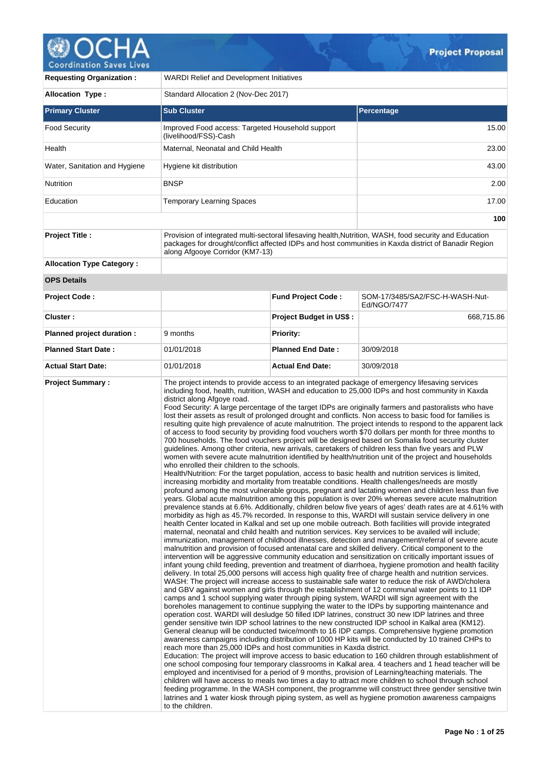

| <b>Requesting Organization:</b>  | <b>WARDI Relief and Development Initiatives</b>                                                |                                                                                                                                                                                                                                                                                 |                                                                                                                                                                                                                                                                                                                                                                                                                                                                                                                                                                                                                                                                                                                                                                                                                                                                                                                                                                                                                                                                                                                                                                                                                                                                                                                                                                                                                                                                                                                                                                                                                                                                                                                                                                                                                                                                                                                                                                                                                                                                                                                                                                                                                                                                                                                                                                                                                                                                                                                                                                                                                                                                                                                                                                                                                                                                                                                                                                                                                                                                                                                                                                                                                                                                                                                                                                                                                                                                                                                                                                                                                                                             |  |  |  |
|----------------------------------|------------------------------------------------------------------------------------------------|---------------------------------------------------------------------------------------------------------------------------------------------------------------------------------------------------------------------------------------------------------------------------------|-------------------------------------------------------------------------------------------------------------------------------------------------------------------------------------------------------------------------------------------------------------------------------------------------------------------------------------------------------------------------------------------------------------------------------------------------------------------------------------------------------------------------------------------------------------------------------------------------------------------------------------------------------------------------------------------------------------------------------------------------------------------------------------------------------------------------------------------------------------------------------------------------------------------------------------------------------------------------------------------------------------------------------------------------------------------------------------------------------------------------------------------------------------------------------------------------------------------------------------------------------------------------------------------------------------------------------------------------------------------------------------------------------------------------------------------------------------------------------------------------------------------------------------------------------------------------------------------------------------------------------------------------------------------------------------------------------------------------------------------------------------------------------------------------------------------------------------------------------------------------------------------------------------------------------------------------------------------------------------------------------------------------------------------------------------------------------------------------------------------------------------------------------------------------------------------------------------------------------------------------------------------------------------------------------------------------------------------------------------------------------------------------------------------------------------------------------------------------------------------------------------------------------------------------------------------------------------------------------------------------------------------------------------------------------------------------------------------------------------------------------------------------------------------------------------------------------------------------------------------------------------------------------------------------------------------------------------------------------------------------------------------------------------------------------------------------------------------------------------------------------------------------------------------------------------------------------------------------------------------------------------------------------------------------------------------------------------------------------------------------------------------------------------------------------------------------------------------------------------------------------------------------------------------------------------------------------------------------------------------------------------------------------------|--|--|--|
| <b>Allocation Type:</b>          | Standard Allocation 2 (Nov-Dec 2017)                                                           |                                                                                                                                                                                                                                                                                 |                                                                                                                                                                                                                                                                                                                                                                                                                                                                                                                                                                                                                                                                                                                                                                                                                                                                                                                                                                                                                                                                                                                                                                                                                                                                                                                                                                                                                                                                                                                                                                                                                                                                                                                                                                                                                                                                                                                                                                                                                                                                                                                                                                                                                                                                                                                                                                                                                                                                                                                                                                                                                                                                                                                                                                                                                                                                                                                                                                                                                                                                                                                                                                                                                                                                                                                                                                                                                                                                                                                                                                                                                                                             |  |  |  |
| <b>Primary Cluster</b>           | <b>Sub Cluster</b>                                                                             |                                                                                                                                                                                                                                                                                 | <b>Percentage</b>                                                                                                                                                                                                                                                                                                                                                                                                                                                                                                                                                                                                                                                                                                                                                                                                                                                                                                                                                                                                                                                                                                                                                                                                                                                                                                                                                                                                                                                                                                                                                                                                                                                                                                                                                                                                                                                                                                                                                                                                                                                                                                                                                                                                                                                                                                                                                                                                                                                                                                                                                                                                                                                                                                                                                                                                                                                                                                                                                                                                                                                                                                                                                                                                                                                                                                                                                                                                                                                                                                                                                                                                                                           |  |  |  |
| <b>Food Security</b>             | Improved Food access: Targeted Household support<br>(livelihood/FSS)-Cash                      |                                                                                                                                                                                                                                                                                 | 15.00                                                                                                                                                                                                                                                                                                                                                                                                                                                                                                                                                                                                                                                                                                                                                                                                                                                                                                                                                                                                                                                                                                                                                                                                                                                                                                                                                                                                                                                                                                                                                                                                                                                                                                                                                                                                                                                                                                                                                                                                                                                                                                                                                                                                                                                                                                                                                                                                                                                                                                                                                                                                                                                                                                                                                                                                                                                                                                                                                                                                                                                                                                                                                                                                                                                                                                                                                                                                                                                                                                                                                                                                                                                       |  |  |  |
| Health                           | Maternal, Neonatal and Child Health                                                            |                                                                                                                                                                                                                                                                                 | 23.00                                                                                                                                                                                                                                                                                                                                                                                                                                                                                                                                                                                                                                                                                                                                                                                                                                                                                                                                                                                                                                                                                                                                                                                                                                                                                                                                                                                                                                                                                                                                                                                                                                                                                                                                                                                                                                                                                                                                                                                                                                                                                                                                                                                                                                                                                                                                                                                                                                                                                                                                                                                                                                                                                                                                                                                                                                                                                                                                                                                                                                                                                                                                                                                                                                                                                                                                                                                                                                                                                                                                                                                                                                                       |  |  |  |
| Water, Sanitation and Hygiene    | Hygiene kit distribution                                                                       |                                                                                                                                                                                                                                                                                 | 43.00                                                                                                                                                                                                                                                                                                                                                                                                                                                                                                                                                                                                                                                                                                                                                                                                                                                                                                                                                                                                                                                                                                                                                                                                                                                                                                                                                                                                                                                                                                                                                                                                                                                                                                                                                                                                                                                                                                                                                                                                                                                                                                                                                                                                                                                                                                                                                                                                                                                                                                                                                                                                                                                                                                                                                                                                                                                                                                                                                                                                                                                                                                                                                                                                                                                                                                                                                                                                                                                                                                                                                                                                                                                       |  |  |  |
| Nutrition                        | BNSP                                                                                           |                                                                                                                                                                                                                                                                                 | 2.00                                                                                                                                                                                                                                                                                                                                                                                                                                                                                                                                                                                                                                                                                                                                                                                                                                                                                                                                                                                                                                                                                                                                                                                                                                                                                                                                                                                                                                                                                                                                                                                                                                                                                                                                                                                                                                                                                                                                                                                                                                                                                                                                                                                                                                                                                                                                                                                                                                                                                                                                                                                                                                                                                                                                                                                                                                                                                                                                                                                                                                                                                                                                                                                                                                                                                                                                                                                                                                                                                                                                                                                                                                                        |  |  |  |
| Education                        | <b>Temporary Learning Spaces</b>                                                               |                                                                                                                                                                                                                                                                                 | 17.00                                                                                                                                                                                                                                                                                                                                                                                                                                                                                                                                                                                                                                                                                                                                                                                                                                                                                                                                                                                                                                                                                                                                                                                                                                                                                                                                                                                                                                                                                                                                                                                                                                                                                                                                                                                                                                                                                                                                                                                                                                                                                                                                                                                                                                                                                                                                                                                                                                                                                                                                                                                                                                                                                                                                                                                                                                                                                                                                                                                                                                                                                                                                                                                                                                                                                                                                                                                                                                                                                                                                                                                                                                                       |  |  |  |
|                                  |                                                                                                |                                                                                                                                                                                                                                                                                 | 100                                                                                                                                                                                                                                                                                                                                                                                                                                                                                                                                                                                                                                                                                                                                                                                                                                                                                                                                                                                                                                                                                                                                                                                                                                                                                                                                                                                                                                                                                                                                                                                                                                                                                                                                                                                                                                                                                                                                                                                                                                                                                                                                                                                                                                                                                                                                                                                                                                                                                                                                                                                                                                                                                                                                                                                                                                                                                                                                                                                                                                                                                                                                                                                                                                                                                                                                                                                                                                                                                                                                                                                                                                                         |  |  |  |
| <b>Project Title:</b>            | along Afgooye Corridor (KM7-13)                                                                | Provision of integrated multi-sectoral lifesaving health, Nutrition, WASH, food security and Education<br>packages for drought/conflict affected IDPs and host communities in Kaxda district of Banadir Region                                                                  |                                                                                                                                                                                                                                                                                                                                                                                                                                                                                                                                                                                                                                                                                                                                                                                                                                                                                                                                                                                                                                                                                                                                                                                                                                                                                                                                                                                                                                                                                                                                                                                                                                                                                                                                                                                                                                                                                                                                                                                                                                                                                                                                                                                                                                                                                                                                                                                                                                                                                                                                                                                                                                                                                                                                                                                                                                                                                                                                                                                                                                                                                                                                                                                                                                                                                                                                                                                                                                                                                                                                                                                                                                                             |  |  |  |
| <b>Allocation Type Category:</b> |                                                                                                |                                                                                                                                                                                                                                                                                 |                                                                                                                                                                                                                                                                                                                                                                                                                                                                                                                                                                                                                                                                                                                                                                                                                                                                                                                                                                                                                                                                                                                                                                                                                                                                                                                                                                                                                                                                                                                                                                                                                                                                                                                                                                                                                                                                                                                                                                                                                                                                                                                                                                                                                                                                                                                                                                                                                                                                                                                                                                                                                                                                                                                                                                                                                                                                                                                                                                                                                                                                                                                                                                                                                                                                                                                                                                                                                                                                                                                                                                                                                                                             |  |  |  |
| <b>OPS Details</b>               |                                                                                                |                                                                                                                                                                                                                                                                                 |                                                                                                                                                                                                                                                                                                                                                                                                                                                                                                                                                                                                                                                                                                                                                                                                                                                                                                                                                                                                                                                                                                                                                                                                                                                                                                                                                                                                                                                                                                                                                                                                                                                                                                                                                                                                                                                                                                                                                                                                                                                                                                                                                                                                                                                                                                                                                                                                                                                                                                                                                                                                                                                                                                                                                                                                                                                                                                                                                                                                                                                                                                                                                                                                                                                                                                                                                                                                                                                                                                                                                                                                                                                             |  |  |  |
| <b>Project Code:</b>             |                                                                                                | <b>Fund Project Code:</b>                                                                                                                                                                                                                                                       | SOM-17/3485/SA2/FSC-H-WASH-Nut-<br>Ed/NGO/7477                                                                                                                                                                                                                                                                                                                                                                                                                                                                                                                                                                                                                                                                                                                                                                                                                                                                                                                                                                                                                                                                                                                                                                                                                                                                                                                                                                                                                                                                                                                                                                                                                                                                                                                                                                                                                                                                                                                                                                                                                                                                                                                                                                                                                                                                                                                                                                                                                                                                                                                                                                                                                                                                                                                                                                                                                                                                                                                                                                                                                                                                                                                                                                                                                                                                                                                                                                                                                                                                                                                                                                                                              |  |  |  |
| Cluster:                         |                                                                                                | Project Budget in US\$ :                                                                                                                                                                                                                                                        | 668,715.86                                                                                                                                                                                                                                                                                                                                                                                                                                                                                                                                                                                                                                                                                                                                                                                                                                                                                                                                                                                                                                                                                                                                                                                                                                                                                                                                                                                                                                                                                                                                                                                                                                                                                                                                                                                                                                                                                                                                                                                                                                                                                                                                                                                                                                                                                                                                                                                                                                                                                                                                                                                                                                                                                                                                                                                                                                                                                                                                                                                                                                                                                                                                                                                                                                                                                                                                                                                                                                                                                                                                                                                                                                                  |  |  |  |
| Planned project duration :       | 9 months                                                                                       | <b>Priority:</b>                                                                                                                                                                                                                                                                |                                                                                                                                                                                                                                                                                                                                                                                                                                                                                                                                                                                                                                                                                                                                                                                                                                                                                                                                                                                                                                                                                                                                                                                                                                                                                                                                                                                                                                                                                                                                                                                                                                                                                                                                                                                                                                                                                                                                                                                                                                                                                                                                                                                                                                                                                                                                                                                                                                                                                                                                                                                                                                                                                                                                                                                                                                                                                                                                                                                                                                                                                                                                                                                                                                                                                                                                                                                                                                                                                                                                                                                                                                                             |  |  |  |
| <b>Planned Start Date:</b>       | 01/01/2018                                                                                     | <b>Planned End Date:</b>                                                                                                                                                                                                                                                        | 30/09/2018                                                                                                                                                                                                                                                                                                                                                                                                                                                                                                                                                                                                                                                                                                                                                                                                                                                                                                                                                                                                                                                                                                                                                                                                                                                                                                                                                                                                                                                                                                                                                                                                                                                                                                                                                                                                                                                                                                                                                                                                                                                                                                                                                                                                                                                                                                                                                                                                                                                                                                                                                                                                                                                                                                                                                                                                                                                                                                                                                                                                                                                                                                                                                                                                                                                                                                                                                                                                                                                                                                                                                                                                                                                  |  |  |  |
| <b>Actual Start Date:</b>        | 01/01/2018                                                                                     | <b>Actual End Date:</b>                                                                                                                                                                                                                                                         | 30/09/2018                                                                                                                                                                                                                                                                                                                                                                                                                                                                                                                                                                                                                                                                                                                                                                                                                                                                                                                                                                                                                                                                                                                                                                                                                                                                                                                                                                                                                                                                                                                                                                                                                                                                                                                                                                                                                                                                                                                                                                                                                                                                                                                                                                                                                                                                                                                                                                                                                                                                                                                                                                                                                                                                                                                                                                                                                                                                                                                                                                                                                                                                                                                                                                                                                                                                                                                                                                                                                                                                                                                                                                                                                                                  |  |  |  |
| <b>Project Summary:</b>          | district along Afgoye road.<br>who enrolled their children to the schools.<br>to the children. | reach more than 25,000 IDPs and host communities in Kaxda district.<br>feeding programme. In the WASH component, the programme will construct three gender sensitive twin<br>latrines and 1 water kiosk through piping system, as well as hygiene promotion awareness campaigns | The project intends to provide access to an integrated package of emergency lifesaving services<br>including food, health, nutrition, WASH and education to 25,000 IDPs and host community in Kaxda<br>Food Security: A large percentage of the target IDPs are originally farmers and pastoralists who have<br>lost their assets as result of prolonged drought and conflicts. Non access to basic food for families is<br>resulting quite high prevalence of acute malnutrition. The project intends to respond to the apparent lack<br>of access to food security by providing food vouchers worth \$70 dollars per month for three months to<br>700 households. The food vouchers project will be designed based on Somalia food security cluster<br>guidelines. Among other criteria, new arrivals, caretakers of children less than five years and PLW<br>women with severe acute malnutrition identified by health/nutrition unit of the project and households<br>Health/Nutrition: For the target population, access to basic health and nutrition services is limited,<br>increasing morbidity and mortality from treatable conditions. Health challenges/needs are mostly<br>profound among the most vulnerable groups, pregnant and lactating women and children less than five<br>years. Global acute malnutrition among this population is over 20% whereas severe acute malnutrition<br>prevalence stands at 6.6%. Additionally, children below five years of ages' death rates are at 4.61% with<br>morbidity as high as 45.7% recorded. In response to this, WARDI will sustain service delivery in one<br>health Center located in Kalkal and set up one mobile outreach. Both facilities will provide integrated<br>maternal, neonatal and child health and nutrition services. Key services to be availed will include;<br>immunization, management of childhood illnesses, detection and management/referral of severe acute<br>malnutrition and provision of focused antenatal care and skilled delivery. Critical component to the<br>intervention will be aggressive community education and sensitization on critically important issues of<br>infant young child feeding, prevention and treatment of diarrhoea, hygiene promotion and health facility<br>delivery. In total 25,000 persons will access high quality free of charge health and nutrition services.<br>WASH: The project will increase access to sustainable safe water to reduce the risk of AWD/cholera<br>and GBV against women and girls through the establishment of 12 communal water points to 11 IDP<br>camps and 1 school supplying water through piping system, WARDI will sign agreement with the<br>boreholes management to continue supplying the water to the IDPs by supporting maintenance and<br>operation cost. WARDI will desludge 50 filled IDP latrines, construct 30 new IDP latrines and three<br>gender sensitive twin IDP school latrines to the new constructed IDP school in Kalkal area (KM12).<br>General cleanup will be conducted twice/month to 16 IDP camps. Comprehensive hygiene promotion<br>awareness campaigns including distribution of 1000 HP kits will be conducted by 10 trained CHPs to<br>Education: The project will improve access to basic education to 160 children through establishment of<br>one school composing four temporary classrooms in Kalkal area. 4 teachers and 1 head teacher will be<br>employed and incentivised for a period of 9 months, provision of Learning/teaching materials. The<br>children will have access to meals two times a day to attract more children to school through school |  |  |  |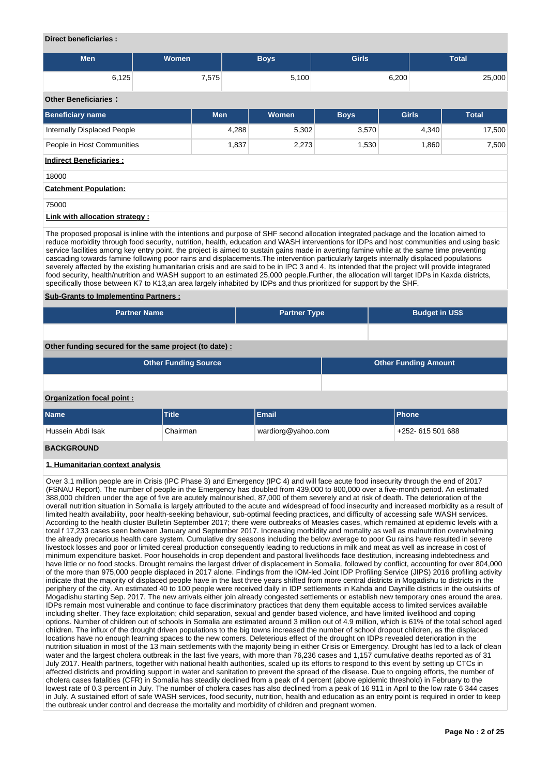#### **Direct beneficiaries :**

| <b>Men</b> | <b>Women</b> | Boys' | <b>Girls</b> | <b>Total</b> |
|------------|--------------|-------|--------------|--------------|
| 6,125      | 7,575        | 5,100 | 6,200        | 25,000       |

# **Other Beneficiaries :**

| <b>UUIGI DEIIGIIUIGIIIGS.</b>   |            |       |             |              |              |
|---------------------------------|------------|-------|-------------|--------------|--------------|
| <b>Beneficiary name</b>         | <b>Men</b> | Women | <b>Boys</b> | <b>Girls</b> | <b>Total</b> |
| Internally Displaced People     | 4,288      | 5,302 | 3,570       | 4,340        | 17,500       |
| People in Host Communities      | 1,837      | 2,273 | 1,530       | 1,860        | 7,500        |
| <b>Indirect Beneficiaries:</b>  |            |       |             |              |              |
| 18000                           |            |       |             |              |              |
| <b>Catchment Population:</b>    |            |       |             |              |              |
| 75000                           |            |       |             |              |              |
| Link with allocation strategy : |            |       |             |              |              |

The proposed proposal is inline with the intentions and purpose of SHF second allocation integrated package and the location aimed to reduce morbidity through food security, nutrition, health, education and WASH interventions for IDPs and host communities and using basic service facilities among key entry point. the project is aimed to sustain gains made in averting famine while at the same time preventing cascading towards famine following poor rains and displacements.The intervention particularly targets internally displaced populations severely affected by the existing humanitarian crisis and are said to be in IPC 3 and 4. Its intended that the project will provide integrated food security, health/nutrition and WASH support to an estimated 25,000 people.Further, the allocation will target IDPs in Kaxda districts, specifically those between K7 to K13,an area largely inhabited by IDPs and thus prioritized for support by the SHF.

#### **Sub-Grants to Implementing Partners :**

| <b>Partner Name</b>                                   | <b>Partner Type</b> | <b>Budget in US\$</b> |
|-------------------------------------------------------|---------------------|-----------------------|
|                                                       |                     |                       |
| Other funding secured for the same project (to date): |                     |                       |
| <b>Other Funding Source</b>                           |                     | Other Funding Amount  |

#### **Organization focal point :**

| <b>Name</b>             | Title    | Email              | <b>IPhone</b>     |
|-------------------------|----------|--------------------|-------------------|
| Hussein Abdi Isak       | Chairman | wardiorg@yahoo.com | +252- 615 501 688 |
| _ _ _ _ _ _ _ _ _ _ _ _ |          |                    |                   |

#### **BACKGROUND**

#### **1. Humanitarian context analysis**

Over 3.1 million people are in Crisis (IPC Phase 3) and Emergency (IPC 4) and will face acute food insecurity through the end of 2017 (FSNAU Report). The number of people in the Emergency has doubled from 439,000 to 800,000 over a five-month period. An estimated 388,000 children under the age of five are acutely malnourished, 87,000 of them severely and at risk of death. The deterioration of the overall nutrition situation in Somalia is largely attributed to the acute and widespread of food insecurity and increased morbidity as a result of limited health availability, poor health-seeking behaviour, sub-optimal feeding practices, and difficulty of accessing safe WASH services. According to the health cluster Bulletin September 2017; there were outbreaks of Measles cases, which remained at epidemic levels with a total f 17,233 cases seen between January and September 2017. Increasing morbidity and mortality as well as malnutrition overwhelming the already precarious health care system. Cumulative dry seasons including the below average to poor Gu rains have resulted in severe livestock losses and poor or limited cereal production consequently leading to reductions in milk and meat as well as increase in cost of minimum expenditure basket. Poor households in crop dependent and pastoral livelihoods face destitution, increasing indebtedness and have little or no food stocks. Drought remains the largest driver of displacement in Somalia, followed by conflict, accounting for over 804,000 of the more than 975,000 people displaced in 2017 alone. Findings from the IOM-led Joint IDP Profiling Service (JIPS) 2016 profiling activity indicate that the majority of displaced people have in the last three years shifted from more central districts in Mogadishu to districts in the periphery of the city. An estimated 40 to 100 people were received daily in IDP settlements in Kahda and Daynille districts in the outskirts of Mogadishu starting Sep. 2017. The new arrivals either join already congested settlements or establish new temporary ones around the area. IDPs remain most vulnerable and continue to face discriminatory practices that deny them equitable access to limited services available including shelter. They face exploitation; child separation, sexual and gender based violence, and have limited livelihood and coping options. Number of children out of schools in Somalia are estimated around 3 million out of 4.9 million, which is 61% of the total school aged children. The influx of the drought driven populations to the big towns increased the number of school dropout children, as the displaced locations have no enough learning spaces to the new comers. Deleterious effect of the drought on IDPs revealed deterioration in the nutrition situation in most of the 13 main settlements with the majority being in either Crisis or Emergency. Drought has led to a lack of clean water and the largest cholera outbreak in the last five years, with more than 76,236 cases and 1,157 cumulative deaths reported as of 31 July 2017. Health partners, together with national health authorities, scaled up its efforts to respond to this event by setting up CTCs in affected districts and providing support in water and sanitation to prevent the spread of the disease. Due to ongoing efforts, the number of cholera cases fatalities (CFR) in Somalia has steadily declined from a peak of 4 percent (above epidemic threshold) in February to the lowest rate of 0.3 percent in July. The number of cholera cases has also declined from a peak of 16 911 in April to the low rate 6 344 cases in July. A sustained effort of safe WASH services, food security, nutrition, health and education as an entry point is required in order to keep the outbreak under control and decrease the mortality and morbidity of children and pregnant women.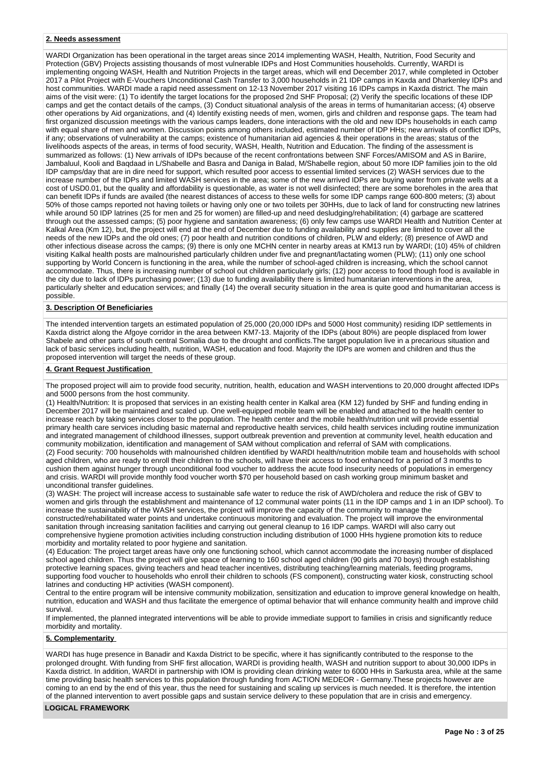#### **2. Needs assessment**

WARDI Organization has been operational in the target areas since 2014 implementing WASH, Health, Nutrition, Food Security and Protection (GBV) Projects assisting thousands of most vulnerable IDPs and Host Communities households. Currently, WARDI is implementing ongoing WASH, Health and Nutrition Projects in the target areas, which will end December 2017, while completed in October 2017 a Pilot Project with E-Vouchers Unconditional Cash Transfer to 3,000 households in 21 IDP camps in Kaxda and Dharkenley IDPs and host communities. WARDI made a rapid need assessment on 12-13 November 2017 visiting 16 IDPs camps in Kaxda district. The main aims of the visit were: (1) To identify the target locations for the proposed 2nd SHF Proposal; (2) Verify the specific locations of these IDP camps and get the contact details of the camps, (3) Conduct situational analysis of the areas in terms of humanitarian access; (4) observe other operations by Aid organizations, and (4) Identify existing needs of men, women, girls and children and response gaps. The team had first organized discussion meetings with the various camps leaders, done interactions with the old and new IDPs households in each camp with equal share of men and women. Discussion points among others included, estimated number of IDP HHs; new arrivals of conflict IDPs, if any; observations of vulnerability at the camps; existence of humanitarian aid agencies & their operations in the areas; status of the livelihoods aspects of the areas, in terms of food security, WASH, Health, Nutrition and Education. The finding of the assessment is summarized as follows: (1) New arrivals of IDPs because of the recent confrontations between SNF Forces/AMISOM and AS in Bariire, Jambaluul, Kooli and Baqdaad in L/Shabelle and Basra and Daniga in Balad, M/Shabelle region, about 50 more IDP families join to the old IDP camps/day that are in dire need for support, which resulted poor access to essential limited services (2) WASH services due to the increase number of the IDPs and limited WASH services in the area; some of the new arrived IDPs are buying water from private wells at a cost of USD0.01, but the quality and affordability is questionable, as water is not well disinfected; there are some boreholes in the area that can benefit IDPs if funds are availed (the nearest distances of access to these wells for some IDP camps range 600-800 meters; (3) about 50% of those camps reported not having toilets or having only one or two toilets per 30HHs, due to lack of land for constructing new latrines while around 50 IDP latrines (25 for men and 25 for women) are filled-up and need desludging/rehabilitation; (4) garbage are scattered through out the assessed camps; (5) poor hygiene and sanitation awareness; (6) only few camps use WARDI Health and Nutrition Center at Kalkal Area (Km 12), but, the project will end at the end of December due to funding availability and supplies are limited to cover all the needs of the new IDPs and the old ones; (7) poor health and nutrition conditions of children, PLW and elderly; (8) presence of AWD and other infectious disease across the camps; (9) there is only one MCHN center in nearby areas at KM13 run by WARDI; (10) 45% of children visiting Kalkal health posts are malnourished particularly children under five and pregnant/lactating women (PLW); (11) only one school supporting by World Concern is functioning in the area, while the number of school-aged children is increasing, which the school cannot accommodate. Thus, there is increasing number of school out children particularly girls; (12) poor access to food though food is available in the city due to lack of IDPs purchasing power; (13) due to funding availability there is limited humanitarian interventions in the area, particularly shelter and education services; and finally (14) the overall security situation in the area is quite good and humanitarian access is possible.

# **3. Description Of Beneficiaries**

The intended intervention targets an estimated population of 25,000 (20,000 IDPs and 5000 Host community) residing IDP settlements in Kaxda district along the Afgoye corridor in the area between KM7-13. Majority of the IDPs (about 80%) are people displaced from lower Shabele and other parts of south central Somalia due to the drought and conflicts.The target population live in a precarious situation and lack of basic services including health, nutrition, WASH, education and food. Majority the IDPs are women and children and thus the proposed intervention will target the needs of these group.

#### **4. Grant Request Justification**

The proposed project will aim to provide food security, nutrition, health, education and WASH interventions to 20,000 drought affected IDPs and 5000 persons from the host community.

(1) Health/Nutrition: It is proposed that services in an existing health center in Kalkal area (KM 12) funded by SHF and funding ending in December 2017 will be maintained and scaled up. One well-equipped mobile team will be enabled and attached to the health center to increase reach by taking services closer to the population. The health center and the mobile health/nutrition unit will provide essential primary health care services including basic maternal and reproductive health services, child health services including routine immunization and integrated management of childhood illnesses, support outbreak prevention and prevention at community level, health education and community mobilization, identification and management of SAM without complication and referral of SAM with complications. (2) Food security: 700 households with malnourished children identified by WARDI health/nutrition mobile team and households with school aged children, who are ready to enroll their children to the schools, will have their access to food enhanced for a period of 3 months to cushion them against hunger through unconditional food voucher to address the acute food insecurity needs of populations in emergency and crisis. WARDI will provide monthly food voucher worth \$70 per household based on cash working group minimum basket and unconditional transfer guidelines.

(3) WASH: The project will increase access to sustainable safe water to reduce the risk of AWD/cholera and reduce the risk of GBV to women and girls through the establishment and maintenance of 12 communal water points (11 in the IDP camps and 1 in an IDP school). To increase the sustainability of the WASH services, the project will improve the capacity of the community to manage the constructed/rehabilitated water points and undertake continuous monitoring and evaluation. The project will improve the environmental sanitation through increasing sanitation facilities and carrying out general cleanup to 16 IDP camps. WARDI will also carry out comprehensive hygiene promotion activities including construction including distribution of 1000 HHs hygiene promotion kits to reduce morbidity and mortality related to poor hygiene and sanitation.

(4) Education: The project target areas have only one functioning school, which cannot accommodate the increasing number of displaced school aged children. Thus the project will give space of learning to 160 school aged children (90 girls and 70 boys) through establishing protective learning spaces, giving teachers and head teacher incentives, distributing teaching/learning materials, feeding programs, supporting food voucher to households who enroll their children to schools (FS component), constructing water kiosk, constructing school latrines and conducting HP activities (WASH component).

Central to the entire program will be intensive community mobilization, sensitization and education to improve general knowledge on health, nutrition, education and WASH and thus facilitate the emergence of optimal behavior that will enhance community health and improve child survival.

If implemented, the planned integrated interventions will be able to provide immediate support to families in crisis and significantly reduce morbidity and mortality.

#### **5. Complementarity**

WARDI has huge presence in Banadir and Kaxda District to be specific, where it has significantly contributed to the response to the prolonged drought. With funding from SHF first allocation, WARDI is providing health, WASH and nutrition support to about 30,000 IDPs in Kaxda district. In addition, WARDI in partnership with IOM is providing clean drinking water to 6000 HHs in Sarkusta area, while at the same time providing basic health services to this population through funding from ACTION MEDEOR - Germany.These projects however are coming to an end by the end of this year, thus the need for sustaining and scaling up services is much needed. It is therefore, the intention of the planned intervention to avert possible gaps and sustain service delivery to these population that are in crisis and emergency.

#### **LOGICAL FRAMEWORK**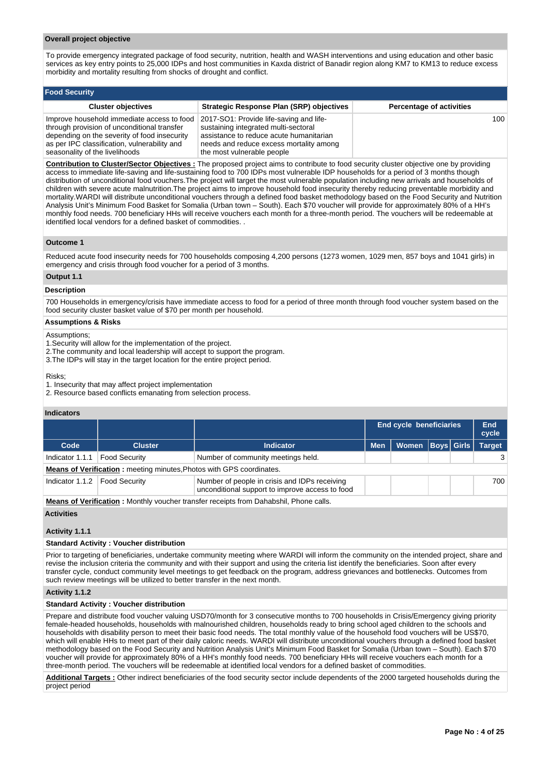#### **Overall project objective**

**Food Security**

To provide emergency integrated package of food security, nutrition, health and WASH interventions and using education and other basic services as key entry points to 25,000 IDPs and host communities in Kaxda district of Banadir region along KM7 to KM13 to reduce excess morbidity and mortality resulting from shocks of drought and conflict.

| <b>Cluster objectives</b>                                                                                                                                                                                                   | <b>Strategic Response Plan (SRP) objectives</b>                                                                                                                                                     | <b>Percentage of activities</b> |
|-----------------------------------------------------------------------------------------------------------------------------------------------------------------------------------------------------------------------------|-----------------------------------------------------------------------------------------------------------------------------------------------------------------------------------------------------|---------------------------------|
| Improve household immediate access to food<br>through provision of unconditional transfer<br>depending on the severity of food insecurity<br>as per IPC classification, vulnerability and<br>seasonality of the livelihoods | 2017-SO1: Provide life-saving and life-<br>sustaining integrated multi-sectoral<br>assistance to reduce acute humanitarian<br>needs and reduce excess mortality among<br>the most vulnerable people | 100                             |

**Contribution to Cluster/Sector Objectives :** The proposed project aims to contribute to food security cluster objective one by providing access to immediate life-saving and life-sustaining food to 700 IDPs most vulnerable IDP households for a period of 3 months though distribution of unconditional food vouchers.The project will target the most vulnerable population including new arrivals and households of children with severe acute malnutrition.The project aims to improve household food insecurity thereby reducing preventable morbidity and mortality.WARDI will distribute unconditional vouchers through a defined food basket methodology based on the Food Security and Nutrition Analysis Unit's Minimum Food Basket for Somalia (Urban town – South). Each \$70 voucher will provide for approximately 80% of a HH's monthly food needs. 700 beneficiary HHs will receive vouchers each month for a three-month period. The vouchers will be redeemable at identified local vendors for a defined basket of commodities. .

#### **Outcome 1**

Reduced acute food insecurity needs for 700 households composing 4,200 persons (1273 women, 1029 men, 857 boys and 1041 girls) in emergency and crisis through food voucher for a period of 3 months.

# **Output 1.1**

#### **Description**

700 Households in emergency/crisis have immediate access to food for a period of three month through food voucher system based on the food security cluster basket value of \$70 per month per household.

#### **Assumptions & Risks**

#### Assumptions;

- 1.Security will allow for the implementation of the project.
- 2. The community and local leadership will accept to support the program.
- 3. The IDPs will stay in the target location for the entire project period.

Risks;

- 1. Insecurity that may affect project implementation
- 2. Resource based conflicts emanating from selection process.

#### **Indicators**

|                                                                             |                      |                                                                                                  | <b>End cycle beneficiaries</b> |                      |  | End<br>cycle |               |
|-----------------------------------------------------------------------------|----------------------|--------------------------------------------------------------------------------------------------|--------------------------------|----------------------|--|--------------|---------------|
| Code                                                                        | <b>Cluster</b>       | <b>Indicator</b>                                                                                 | <b>Men</b>                     | Women   Boys   Girls |  |              | <b>Target</b> |
| Indicator 1.1.1                                                             | <b>Food Security</b> | Number of community meetings held.                                                               |                                |                      |  |              | 3             |
| <b>Means of Verification:</b> meeting minutes, Photos with GPS coordinates. |                      |                                                                                                  |                                |                      |  |              |               |
| Indicator 1.1.2                                                             | <b>Food Security</b> | Number of people in crisis and IDPs receiving<br>unconditional support to improve access to food |                                |                      |  |              | 700           |

**Means of Verification :** Monthly voucher transfer receipts from Dahabshil, Phone calls.

#### **Activities**

#### **Activity 1.1.1**

#### **Standard Activity : Voucher distribution**

Prior to targeting of beneficiaries, undertake community meeting where WARDI will inform the community on the intended project, share and revise the inclusion criteria the community and with their support and using the criteria list identify the beneficiaries. Soon after every transfer cycle, conduct community level meetings to get feedback on the program, address grievances and bottlenecks. Outcomes from such review meetings will be utilized to better transfer in the next month.

#### **Activity 1.1.2**

#### **Standard Activity : Voucher distribution**

Prepare and distribute food voucher valuing USD70/month for 3 consecutive months to 700 households in Crisis/Emergency giving priority female-headed households, households with malnourished children, households ready to bring school aged children to the schools and households with disability person to meet their basic food needs. The total monthly value of the household food vouchers will be US\$70, which will enable HHs to meet part of their daily caloric needs. WARDI will distribute unconditional vouchers through a defined food basket methodology based on the Food Security and Nutrition Analysis Unit's Minimum Food Basket for Somalia (Urban town – South). Each \$70 voucher will provide for approximately 80% of a HH's monthly food needs. 700 beneficiary HHs will receive vouchers each month for a three-month period. The vouchers will be redeemable at identified local vendors for a defined basket of commodities.

**Additional Targets :** Other indirect beneficiaries of the food security sector include dependents of the 2000 targeted households during the project period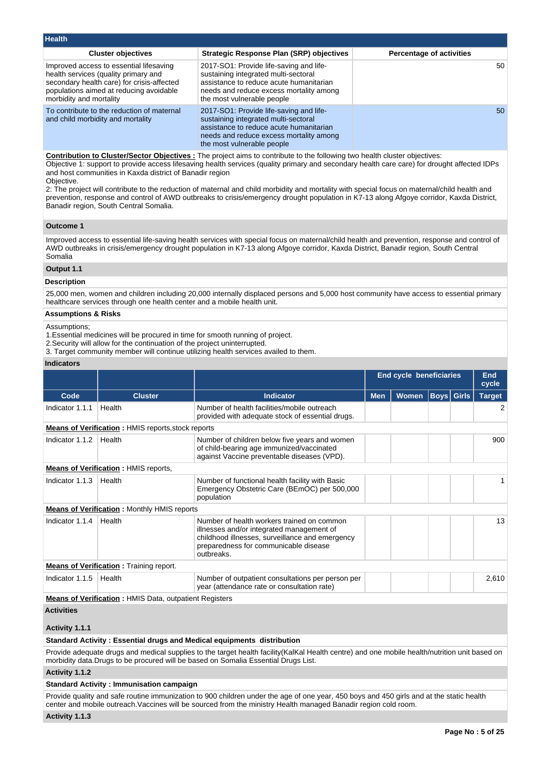| <b>Health</b>                                                                                                                                                                                       |                                                                                                                                                                                                     |                                 |  |  |  |  |  |
|-----------------------------------------------------------------------------------------------------------------------------------------------------------------------------------------------------|-----------------------------------------------------------------------------------------------------------------------------------------------------------------------------------------------------|---------------------------------|--|--|--|--|--|
| <b>Cluster objectives</b>                                                                                                                                                                           | Strategic Response Plan (SRP) objectives                                                                                                                                                            | <b>Percentage of activities</b> |  |  |  |  |  |
| Improved access to essential lifesaving<br>health services (quality primary and<br>secondary health care) for crisis-affected<br>populations aimed at reducing avoidable<br>morbidity and mortality | 2017-SO1: Provide life-saving and life-<br>sustaining integrated multi-sectoral<br>assistance to reduce acute humanitarian<br>needs and reduce excess mortality among<br>the most vulnerable people | 50                              |  |  |  |  |  |
| To contribute to the reduction of maternal<br>and child morbidity and mortality                                                                                                                     | 2017-SO1: Provide life-saving and life-<br>sustaining integrated multi-sectoral<br>assistance to reduce acute humanitarian<br>needs and reduce excess mortality among<br>the most vulnerable people | 50                              |  |  |  |  |  |

**Contribution to Cluster/Sector Objectives :** The project aims to contribute to the following two health cluster objectives: Objective 1: support to provide access lifesaving health services (quality primary and secondary health care care) for drought affected IDPs and host communities in Kaxda district of Banadir region Objective.

2: The project will contribute to the reduction of maternal and child morbidity and mortality with special focus on maternal/child health and prevention, response and control of AWD outbreaks to crisis/emergency drought population in K7-13 along Afgoye corridor, Kaxda District, Banadir region, South Central Somalia.

# **Outcome 1**

Improved access to essential life-saving health services with special focus on maternal/child health and prevention, response and control of AWD outbreaks in crisis/emergency drought population in K7-13 along Afgoye corridor, Kaxda District, Banadir region, South Central Somalia

#### **Output 1.1**

#### **Description**

25,000 men, women and children including 20,000 internally displaced persons and 5,000 host community have access to essential primary healthcare services through one health center and a mobile health unit.

#### **Assumptions & Risks**

Assumptions;

1.Essential medicines will be procured in time for smooth running of project.

- 2.Security will allow for the continuation of the project uninterrupted.
- 3. Target community member will continue utilizing health services availed to them.

#### **Indicators**

|                                                                                                                                                                                                                                       |                                                               |                                                                                                                                                                                                   | <b>End cycle beneficiaries</b> |              |                   | End<br>cycle |               |  |  |
|---------------------------------------------------------------------------------------------------------------------------------------------------------------------------------------------------------------------------------------|---------------------------------------------------------------|---------------------------------------------------------------------------------------------------------------------------------------------------------------------------------------------------|--------------------------------|--------------|-------------------|--------------|---------------|--|--|
| Code                                                                                                                                                                                                                                  | <b>Cluster</b>                                                | <b>Indicator</b>                                                                                                                                                                                  | <b>Men</b>                     | <b>Women</b> | <b>Boys Girls</b> |              | <b>Target</b> |  |  |
| Indicator 1.1.1                                                                                                                                                                                                                       | Health                                                        | Number of health facilities/mobile outreach<br>provided with adequate stock of essential drugs.                                                                                                   |                                |              |                   |              | 2             |  |  |
|                                                                                                                                                                                                                                       | <b>Means of Verification:</b> HMIS reports, stock reports     |                                                                                                                                                                                                   |                                |              |                   |              |               |  |  |
| Indicator 1.1.2                                                                                                                                                                                                                       | Health                                                        | Number of children below five years and women<br>of child-bearing age immunized/vaccinated<br>against Vaccine preventable diseases (VPD).                                                         |                                |              |                   |              | 900           |  |  |
|                                                                                                                                                                                                                                       | <b>Means of Verification: HMIS reports,</b>                   |                                                                                                                                                                                                   |                                |              |                   |              |               |  |  |
| Indicator 1.1.3                                                                                                                                                                                                                       | Health                                                        | Number of functional health facility with Basic<br>Emergency Obstetric Care (BEmOC) per 500,000<br>population                                                                                     |                                |              |                   |              |               |  |  |
|                                                                                                                                                                                                                                       | <b>Means of Verification : Monthly HMIS reports</b>           |                                                                                                                                                                                                   |                                |              |                   |              |               |  |  |
| Indicator 1.1.4                                                                                                                                                                                                                       | Health                                                        | Number of health workers trained on common<br>illnesses and/or integrated management of<br>childhood illnesses, surveillance and emergency<br>preparedness for communicable disease<br>outbreaks. |                                |              |                   |              | 13            |  |  |
|                                                                                                                                                                                                                                       | <b>Means of Verification:</b> Training report.                |                                                                                                                                                                                                   |                                |              |                   |              |               |  |  |
| Indicator 1.1.5                                                                                                                                                                                                                       | Health                                                        | Number of outpatient consultations per person per<br>year (attendance rate or consultation rate)                                                                                                  |                                |              |                   |              | 2,610         |  |  |
|                                                                                                                                                                                                                                       | <b>Means of Verification: HMIS Data, outpatient Registers</b> |                                                                                                                                                                                                   |                                |              |                   |              |               |  |  |
| <b>Activities</b><br>Activity 1.1.1                                                                                                                                                                                                   |                                                               |                                                                                                                                                                                                   |                                |              |                   |              |               |  |  |
| Standard Activity: Essential drugs and Medical equipments distribution                                                                                                                                                                |                                                               |                                                                                                                                                                                                   |                                |              |                   |              |               |  |  |
| Provide adequate drugs and medical supplies to the target health facility (KalKal Health centre) and one mobile health/nutrition unit based on<br>morbidity data. Drugs to be procured will be based on Somalia Essential Drugs List. |                                                               |                                                                                                                                                                                                   |                                |              |                   |              |               |  |  |
| Activity 1.1.2                                                                                                                                                                                                                        |                                                               |                                                                                                                                                                                                   |                                |              |                   |              |               |  |  |
|                                                                                                                                                                                                                                       | <b>Standard Activity: Immunisation campaign</b>               |                                                                                                                                                                                                   |                                |              |                   |              |               |  |  |

Provide quality and safe routine immunization to 900 children under the age of one year, 450 boys and 450 girls and at the static health center and mobile outreach.Vaccines will be sourced from the ministry Health managed Banadir region cold room.

**Activity 1.1.3**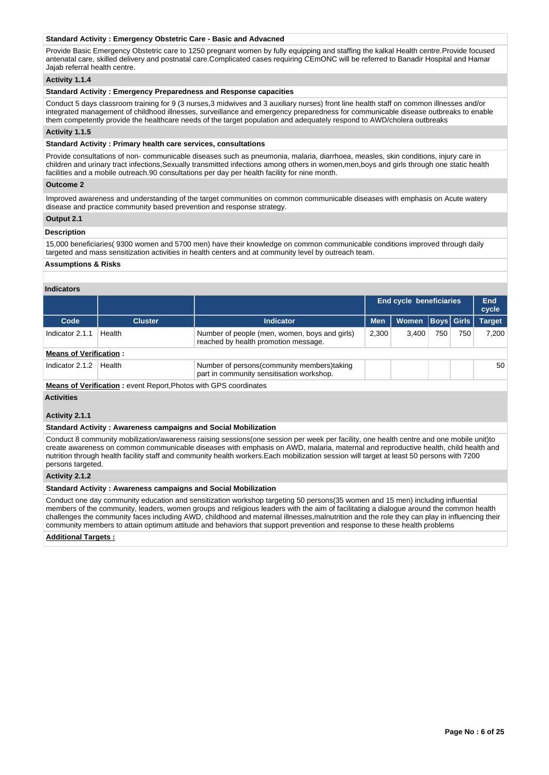#### **Standard Activity : Emergency Obstetric Care - Basic and Advacned**

Provide Basic Emergency Obstetric care to 1250 pregnant women by fully equipping and staffing the kalkal Health centre.Provide focused antenatal care, skilled delivery and postnatal care.Complicated cases requiring CEmONC will be referred to Banadir Hospital and Hamar Jajab referral health centre.

#### **Activity 1.1.4**

#### **Standard Activity : Emergency Preparedness and Response capacities**

Conduct 5 days classroom training for 9 (3 nurses,3 midwives and 3 auxiliary nurses) front line health staff on common illnesses and/or integrated management of childhood illnesses, surveillance and emergency preparedness for communicable disease outbreaks to enable them competently provide the healthcare needs of the target population and adequately respond to AWD/cholera outbreaks

#### **Activity 1.1.5**

#### **Standard Activity : Primary health care services, consultations**

Provide consultations of non- communicable diseases such as pneumonia, malaria, diarrhoea, measles, skin conditions, injury care in children and urinary tract infections,Sexually transmitted infections among others in women,men,boys and girls through one static health facilities and a mobile outreach.90 consultations per day per health facility for nine month.

#### **Outcome 2**

Improved awareness and understanding of the target communities on common communicable diseases with emphasis on Acute watery disease and practice community based prevention and response strategy.

#### **Output 2.1**

#### **Description**

15,000 beneficiaries( 9300 women and 5700 men) have their knowledge on common communicable conditions improved through daily targeted and mass sensitization activities in health centers and at community level by outreach team.

#### **Assumptions & Risks**

# **Indicators**

|                               |                |                                                                                           | <b>End cycle beneficiaries</b> |       |     | End<br>cycle |               |
|-------------------------------|----------------|-------------------------------------------------------------------------------------------|--------------------------------|-------|-----|--------------|---------------|
| Code                          | <b>Cluster</b> | <b>Indicator</b>                                                                          | <b>Men</b>                     | Women |     | Boys Girls   | <b>Target</b> |
| Indicator 2.1.1               | Health         | Number of people (men, women, boys and girls)<br>reached by health promotion message.     | 2.300                          | 3.400 | 750 | 750          | 7.200         |
| <b>Means of Verification:</b> |                |                                                                                           |                                |       |     |              |               |
| Indicator 2.1.2               | Health         | Number of persons (community members) taking<br>part in community sensitisation workshop. |                                |       |     |              | 50            |

**Means of Verification :** event Report,Photos with GPS coordinates

# **Activities**

# **Activity 2.1.1**

# **Standard Activity : Awareness campaigns and Social Mobilization**

Conduct 8 community mobilization/awareness raising sessions(one session per week per facility, one health centre and one mobile unit)to create awareness on common communicable diseases with emphasis on AWD, malaria, maternal and reproductive health, child health and nutrition through health facility staff and community health workers.Each mobilization session will target at least 50 persons with 7200 persons targeted.

#### **Activity 2.1.2**

#### **Standard Activity : Awareness campaigns and Social Mobilization**

Conduct one day community education and sensitization workshop targeting 50 persons(35 women and 15 men) including influential members of the community, leaders, women groups and religious leaders with the aim of facilitating a dialogue around the common health challenges the community faces including AWD, childhood and maternal illnesses,malnutrition and the role they can play in influencing their community members to attain optimum attitude and behaviors that support prevention and response to these health problems

#### **Additional Targets :**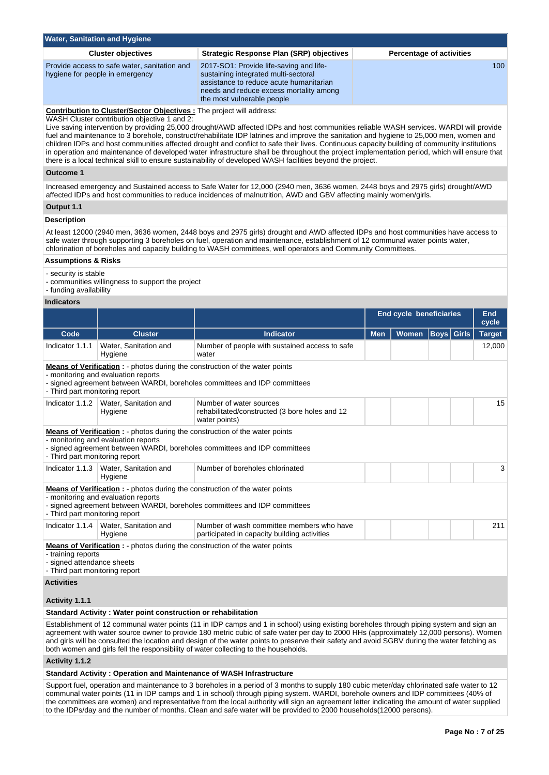| <b>Water, Sanitation and Hygiene</b>                                                                                                                                                                                                                                                                                                                                                                                                                                                                                                                                                                                                                                                                                                                                                                                           |                                                                                                                                                                                                     |                                 |  |  |  |  |
|--------------------------------------------------------------------------------------------------------------------------------------------------------------------------------------------------------------------------------------------------------------------------------------------------------------------------------------------------------------------------------------------------------------------------------------------------------------------------------------------------------------------------------------------------------------------------------------------------------------------------------------------------------------------------------------------------------------------------------------------------------------------------------------------------------------------------------|-----------------------------------------------------------------------------------------------------------------------------------------------------------------------------------------------------|---------------------------------|--|--|--|--|
| <b>Cluster objectives</b>                                                                                                                                                                                                                                                                                                                                                                                                                                                                                                                                                                                                                                                                                                                                                                                                      | Strategic Response Plan (SRP) objectives                                                                                                                                                            | <b>Percentage of activities</b> |  |  |  |  |
| Provide access to safe water, sanitation and<br>hygiene for people in emergency                                                                                                                                                                                                                                                                                                                                                                                                                                                                                                                                                                                                                                                                                                                                                | 2017-SO1: Provide life-saving and life-<br>sustaining integrated multi-sectoral<br>assistance to reduce acute humanitarian<br>needs and reduce excess mortality among<br>the most vulnerable people | 100.                            |  |  |  |  |
| <b>Contribution to Cluster/Sector Objectives:</b> The project will address:<br>WASH Cluster contribution objective 1 and 2:<br>Live saving intervention by providing 25,000 drought/AWD affected IDPs and host communities reliable WASH services. WARDI will provide<br>fuel and maintenance to 3 borehole, construct/rehabilitate IDP latrines and improve the sanitation and hygiene to 25,000 men, women and<br>children IDPs and host communities affected drought and conflict to safe their lives. Continuous capacity building of community institutions<br>in operation and maintenance of developed water infrastructure shall be throughout the project implementation period, which will ensure that<br>there is a local technical skill to ensure sustainability of developed WASH facilities beyond the project. |                                                                                                                                                                                                     |                                 |  |  |  |  |
| Outcome 1                                                                                                                                                                                                                                                                                                                                                                                                                                                                                                                                                                                                                                                                                                                                                                                                                      |                                                                                                                                                                                                     |                                 |  |  |  |  |
| Increased emergency and Sustained access to Safe Water for 12,000 (2940 men, 3636 women, 2448 boys and 2975 girls) drought/AWD<br>affected IDPs and host communities to reduce incidences of malnutrition, AWD and GBV affecting mainly women/girls.                                                                                                                                                                                                                                                                                                                                                                                                                                                                                                                                                                           |                                                                                                                                                                                                     |                                 |  |  |  |  |
| Output 1.1                                                                                                                                                                                                                                                                                                                                                                                                                                                                                                                                                                                                                                                                                                                                                                                                                     |                                                                                                                                                                                                     |                                 |  |  |  |  |
| <b>Description</b>                                                                                                                                                                                                                                                                                                                                                                                                                                                                                                                                                                                                                                                                                                                                                                                                             |                                                                                                                                                                                                     |                                 |  |  |  |  |

At least 12000 (2940 men, 3636 women, 2448 boys and 2975 girls) drought and AWD affected IDPs and host communities have access to safe water through supporting 3 boreholes on fuel, operation and maintenance, establishment of 12 communal water points water, chlorination of boreholes and capacity building to WASH committees, well operators and Community Committees.

# **Assumptions & Risks**

- security is stable

- communities willingness to support the project

# - funding availability

#### **Indicators**

|                                                                                                                                                                                                                                                                                                                                                                                                                                                                                                                        |                                                               |                                                                                                                                                                 | <b>End cycle beneficiaries</b> |              |                   | End<br>cycle |               |  |
|------------------------------------------------------------------------------------------------------------------------------------------------------------------------------------------------------------------------------------------------------------------------------------------------------------------------------------------------------------------------------------------------------------------------------------------------------------------------------------------------------------------------|---------------------------------------------------------------|-----------------------------------------------------------------------------------------------------------------------------------------------------------------|--------------------------------|--------------|-------------------|--------------|---------------|--|
| Code                                                                                                                                                                                                                                                                                                                                                                                                                                                                                                                   | <b>Cluster</b>                                                | <b>Indicator</b>                                                                                                                                                | <b>Men</b>                     | <b>Women</b> | <b>Boys</b> Girls |              | <b>Target</b> |  |
| Indicator 1.1.1                                                                                                                                                                                                                                                                                                                                                                                                                                                                                                        | Water, Sanitation and<br>Hygiene                              | Number of people with sustained access to safe<br>water                                                                                                         |                                |              |                   |              | 12,000        |  |
| <b>Means of Verification :</b> - photos during the construction of the water points<br>- monitoring and evaluation reports<br>- signed agreement between WARDI, boreholes committees and IDP committees<br>- Third part monitoring report                                                                                                                                                                                                                                                                              |                                                               |                                                                                                                                                                 |                                |              |                   |              |               |  |
| Indicator 1.1.2                                                                                                                                                                                                                                                                                                                                                                                                                                                                                                        | Water, Sanitation and<br>Hygiene                              | Number of water sources<br>rehabilitated/constructed (3 bore holes and 12<br>water points)                                                                      |                                |              |                   |              | 15            |  |
| <b>Means of Verification :</b> - photos during the construction of the water points<br>- monitoring and evaluation reports<br>- signed agreement between WARDI, boreholes committees and IDP committees<br>- Third part monitoring report                                                                                                                                                                                                                                                                              |                                                               |                                                                                                                                                                 |                                |              |                   |              |               |  |
| Indicator 1.1.3                                                                                                                                                                                                                                                                                                                                                                                                                                                                                                        | Water, Sanitation and<br>Hygiene                              | Number of boreholes chlorinated                                                                                                                                 |                                |              |                   |              | 3             |  |
| - Third part monitoring report                                                                                                                                                                                                                                                                                                                                                                                                                                                                                         | - monitoring and evaluation reports                           | <b>Means of Verification:</b> - photos during the construction of the water points<br>- signed agreement between WARDI, boreholes committees and IDP committees |                                |              |                   |              |               |  |
| Indicator 1.1.4                                                                                                                                                                                                                                                                                                                                                                                                                                                                                                        | Water, Sanitation and<br>Hygiene                              | Number of wash committee members who have<br>participated in capacity building activities                                                                       |                                |              |                   |              | 211           |  |
| <b>Means of Verification:</b> - photos during the construction of the water points<br>- training reports<br>- signed attendance sheets<br>- Third part monitoring report                                                                                                                                                                                                                                                                                                                                               |                                                               |                                                                                                                                                                 |                                |              |                   |              |               |  |
| <b>Activities</b>                                                                                                                                                                                                                                                                                                                                                                                                                                                                                                      |                                                               |                                                                                                                                                                 |                                |              |                   |              |               |  |
| Activity 1.1.1                                                                                                                                                                                                                                                                                                                                                                                                                                                                                                         |                                                               |                                                                                                                                                                 |                                |              |                   |              |               |  |
|                                                                                                                                                                                                                                                                                                                                                                                                                                                                                                                        | Standard Activity: Water point construction or rehabilitation |                                                                                                                                                                 |                                |              |                   |              |               |  |
| Establishment of 12 communal water points (11 in IDP camps and 1 in school) using existing boreholes through piping system and sign an<br>agreement with water source owner to provide 180 metric cubic of safe water per day to 2000 HHs (approximately 12,000 persons). Women<br>and girls will be consulted the location and design of the water points to preserve their safety and avoid SGBV during the water fetching as<br>both women and girls fell the responsibility of water collecting to the households. |                                                               |                                                                                                                                                                 |                                |              |                   |              |               |  |

# **Activity 1.1.2**

**Standard Activity : Operation and Maintenance of WASH Infrastructure**

Support fuel, operation and maintenance to 3 boreholes in a period of 3 months to supply 180 cubic meter/day chlorinated safe water to 12 communal water points (11 in IDP camps and 1 in school) through piping system. WARDI, borehole owners and IDP committees (40% of the committees are women) and representative from the local authority will sign an agreement letter indicating the amount of water supplied to the IDPs/day and the number of months. Clean and safe water will be provided to 2000 households(12000 persons).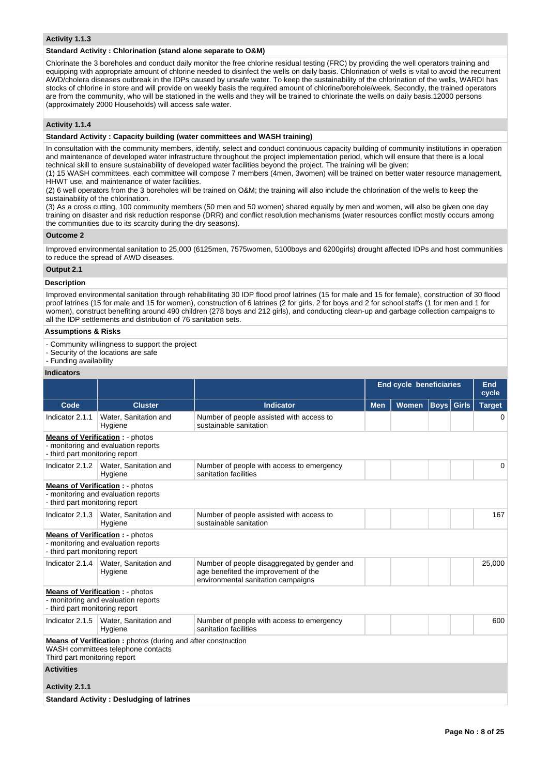#### **Activity 1.1.3**

#### **Standard Activity : Chlorination (stand alone separate to O&M)**

Chlorinate the 3 boreholes and conduct daily monitor the free chlorine residual testing (FRC) by providing the well operators training and equipping with appropriate amount of chlorine needed to disinfect the wells on daily basis. Chlorination of wells is vital to avoid the recurrent AWD/cholera diseases outbreak in the IDPs caused by unsafe water. To keep the sustainability of the chlorination of the wells, WARDI has stocks of chlorine in store and will provide on weekly basis the required amount of chlorine/borehole/week, Secondly, the trained operators are from the community, who will be stationed in the wells and they will be trained to chlorinate the wells on daily basis.12000 persons (approximately 2000 Households) will access safe water.

#### **Activity 1.1.4**

# **Standard Activity : Capacity building (water committees and WASH training)**

In consultation with the community members, identify, select and conduct continuous capacity building of community institutions in operation and maintenance of developed water infrastructure throughout the project implementation period, which will ensure that there is a local technical skill to ensure sustainability of developed water facilities beyond the project. The training will be given:

(1) 15 WASH committees, each committee will compose 7 members (4men, 3women) will be trained on better water resource management, HHWT use, and maintenance of water facilities.

(2) 6 well operators from the 3 boreholes will be trained on O&M; the training will also include the chlorination of the wells to keep the sustainability of the chlorination.

(3) As a cross cutting, 100 community members (50 men and 50 women) shared equally by men and women, will also be given one day training on disaster and risk reduction response (DRR) and conflict resolution mechanisms (water resources conflict mostly occurs among the communities due to its scarcity during the dry seasons).

#### **Outcome 2**

Improved environmental sanitation to 25,000 (6125men, 7575women, 5100boys and 6200girls) drought affected IDPs and host communities to reduce the spread of AWD diseases.

# **Output 2.1**

#### **Description**

Improved environmental sanitation through rehabilitating 30 IDP flood proof latrines (15 for male and 15 for female), construction of 30 flood proof latrines (15 for male and 15 for women), construction of 6 latrines (2 for girls, 2 for boys and 2 for school staffs (1 for men and 1 for women), construct benefiting around 490 children (278 boys and 212 girls), and conducting clean-up and garbage collection campaigns to all the IDP settlements and distribution of 76 sanitation sets.

#### **Assumptions & Risks**

- Community willingness to support the project

- Security of the locations are safe
- Funding availability

|                                                                                                                                           |                                                                               |                                                                                                                            | <b>End cycle beneficiaries</b> | End<br>cycle |             |              |               |  |  |  |
|-------------------------------------------------------------------------------------------------------------------------------------------|-------------------------------------------------------------------------------|----------------------------------------------------------------------------------------------------------------------------|--------------------------------|--------------|-------------|--------------|---------------|--|--|--|
| Code                                                                                                                                      | <b>Cluster</b>                                                                | <b>Indicator</b>                                                                                                           | <b>Men</b>                     | <b>Women</b> | <b>Boys</b> | <b>Girls</b> | <b>Target</b> |  |  |  |
| Indicator 2.1.1                                                                                                                           | Water, Sanitation and<br>Hygiene                                              | Number of people assisted with access to<br>sustainable sanitation                                                         |                                |              |             |              | $\Omega$      |  |  |  |
| - third part monitoring report                                                                                                            | <b>Means of Verification:</b> - photos<br>- monitoring and evaluation reports |                                                                                                                            |                                |              |             |              |               |  |  |  |
|                                                                                                                                           | Indicator 2.1.2   Water, Sanitation and<br>Hygiene                            | Number of people with access to emergency<br>sanitation facilities                                                         |                                |              |             |              | $\Omega$      |  |  |  |
| <b>Means of Verification: - photos</b><br>- monitoring and evaluation reports<br>- third part monitoring report                           |                                                                               |                                                                                                                            |                                |              |             |              |               |  |  |  |
| Indicator 2.1.3                                                                                                                           | Water, Sanitation and<br>Hygiene                                              | Number of people assisted with access to<br>sustainable sanitation                                                         |                                |              |             |              | 167           |  |  |  |
| - third part monitoring report                                                                                                            | <b>Means of Verification:</b> - photos<br>- monitoring and evaluation reports |                                                                                                                            |                                |              |             |              |               |  |  |  |
| Indicator 2.1.4                                                                                                                           | Water, Sanitation and<br>Hygiene                                              | Number of people disaggregated by gender and<br>age benefited the improvement of the<br>environmental sanitation campaigns |                                |              |             |              | 25,000        |  |  |  |
| - third part monitoring report                                                                                                            | <b>Means of Verification:</b> - photos<br>- monitoring and evaluation reports |                                                                                                                            |                                |              |             |              |               |  |  |  |
| Indicator 2.1.5                                                                                                                           | Water, Sanitation and<br>Hygiene                                              | Number of people with access to emergency<br>sanitation facilities                                                         |                                |              |             |              | 600           |  |  |  |
| <b>Means of Verification:</b> photos (during and after construction<br>WASH committees telephone contacts<br>Third part monitoring report |                                                                               |                                                                                                                            |                                |              |             |              |               |  |  |  |
| <b>Activities</b>                                                                                                                         |                                                                               |                                                                                                                            |                                |              |             |              |               |  |  |  |
| Activity 2.1.1                                                                                                                            |                                                                               |                                                                                                                            |                                |              |             |              |               |  |  |  |
|                                                                                                                                           | <b>Standard Activity: Desludging of latrines</b>                              |                                                                                                                            |                                |              |             |              |               |  |  |  |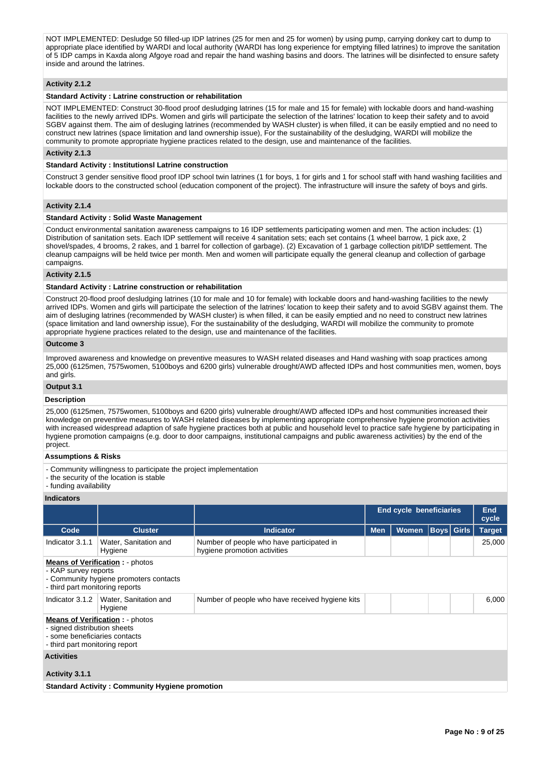NOT IMPLEMENTED: Desludge 50 filled-up IDP latrines (25 for men and 25 for women) by using pump, carrying donkey cart to dump to appropriate place identified by WARDI and local authority (WARDI has long experience for emptying filled latrines) to improve the sanitation of 5 IDP camps in Kaxda along Afgoye road and repair the hand washing basins and doors. The latrines will be disinfected to ensure safety inside and around the latrines.

#### **Activity 2.1.2**

# **Standard Activity : Latrine construction or rehabilitation**

NOT IMPLEMENTED: Construct 30-flood proof desludging latrines (15 for male and 15 for female) with lockable doors and hand-washing facilities to the newly arrived IDPs. Women and girls will participate the selection of the latrines' location to keep their safety and to avoid SGBV against them. The aim of desluging latrines (recommended by WASH cluster) is when filled, it can be easily emptied and no need to construct new latrines (space limitation and land ownership issue), For the sustainability of the desludging, WARDI will mobilize the community to promote appropriate hygiene practices related to the design, use and maintenance of the facilities.

#### **Activity 2.1.3**

#### **Standard Activity : Institutionsl Latrine construction**

Construct 3 gender sensitive flood proof IDP school twin latrines (1 for boys, 1 for girls and 1 for school staff with hand washing facilities and lockable doors to the constructed school (education component of the project). The infrastructure will insure the safety of boys and girls.

#### **Activity 2.1.4**

#### **Standard Activity : Solid Waste Management**

Conduct environmental sanitation awareness campaigns to 16 IDP settlements participating women and men. The action includes: (1) Distribution of sanitation sets. Each IDP settlement will receive 4 sanitation sets; each set contains (1 wheel barrow, 1 pick axe, 2 shovel/spades, 4 brooms, 2 rakes, and 1 barrel for collection of garbage). (2) Excavation of 1 garbage collection pit/IDP settlement. The cleanup campaigns will be held twice per month. Men and women will participate equally the general cleanup and collection of garbage campaigns.

#### **Activity 2.1.5**

#### **Standard Activity : Latrine construction or rehabilitation**

Construct 20-flood proof desludging latrines (10 for male and 10 for female) with lockable doors and hand-washing facilities to the newly arrived IDPs. Women and girls will participate the selection of the latrines' location to keep their safety and to avoid SGBV against them. The aim of desluging latrines (recommended by WASH cluster) is when filled, it can be easily emptied and no need to construct new latrines (space limitation and land ownership issue), For the sustainability of the desludging, WARDI will mobilize the community to promote appropriate hygiene practices related to the design, use and maintenance of the facilities.

#### **Outcome 3**

Improved awareness and knowledge on preventive measures to WASH related diseases and Hand washing with soap practices among 25,000 (6125men, 7575women, 5100boys and 6200 girls) vulnerable drought/AWD affected IDPs and host communities men, women, boys and girls.

# **Output 3.1**

#### **Description**

25,000 (6125men, 7575women, 5100boys and 6200 girls) vulnerable drought/AWD affected IDPs and host communities increased their knowledge on preventive measures to WASH related diseases by implementing appropriate comprehensive hygiene promotion activities with increased widespread adaption of safe hygiene practices both at public and household level to practice safe hygiene by participating in hygiene promotion campaigns (e.g. door to door campaigns, institutional campaigns and public awareness activities) by the end of the project.

#### **Assumptions & Risks**

- Community willingness to participate the project implementation
- the security of the location is stable
- funding availability

|                                                                                                                                             |                                                       |                                                                           | <b>End cycle beneficiaries</b> |              | <b>End</b><br>cycle |  |               |  |  |  |
|---------------------------------------------------------------------------------------------------------------------------------------------|-------------------------------------------------------|---------------------------------------------------------------------------|--------------------------------|--------------|---------------------|--|---------------|--|--|--|
| Code                                                                                                                                        | <b>Cluster</b>                                        | <b>Indicator</b>                                                          | <b>Men</b>                     | <b>Women</b> | <b>Boys</b> Girls   |  | <b>Target</b> |  |  |  |
| Indicator 3.1.1                                                                                                                             | Water, Sanitation and<br>Hygiene                      | Number of people who have participated in<br>hygiene promotion activities |                                |              |                     |  | 25,000        |  |  |  |
| <b>Means of Verification:</b> - photos<br>- KAP survey reports<br>- Community hygiene promoters contacts<br>- third part monitoring reports |                                                       |                                                                           |                                |              |                     |  |               |  |  |  |
| Indicator 3.1.2                                                                                                                             | Water, Sanitation and<br>Hygiene                      | Number of people who have received hygiene kits                           |                                |              |                     |  | 6,000         |  |  |  |
| <b>Means of Verification: - photos</b><br>- signed distribution sheets<br>- some beneficiaries contacts<br>- third part monitoring report   |                                                       |                                                                           |                                |              |                     |  |               |  |  |  |
| <b>Activities</b>                                                                                                                           |                                                       |                                                                           |                                |              |                     |  |               |  |  |  |
| Activity 3.1.1                                                                                                                              |                                                       |                                                                           |                                |              |                     |  |               |  |  |  |
|                                                                                                                                             | <b>Standard Activity: Community Hygiene promotion</b> |                                                                           |                                |              |                     |  |               |  |  |  |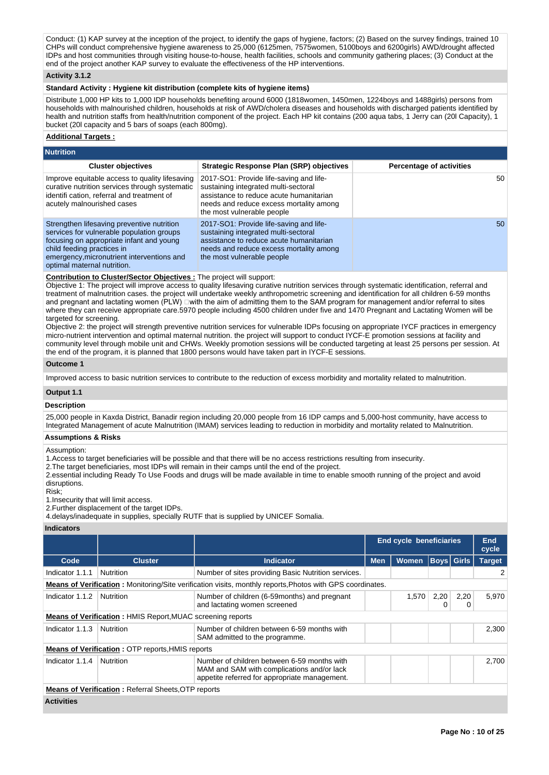Conduct: (1) KAP survey at the inception of the project, to identify the gaps of hygiene, factors; (2) Based on the survey findings, trained 10 CHPs will conduct comprehensive hygiene awareness to 25,000 (6125men, 7575women, 5100boys and 6200girls) AWD/drought affected IDPs and host communities through visiting house-to-house, health facilities, schools and community gathering places; (3) Conduct at the end of the project another KAP survey to evaluate the effectiveness of the HP interventions.

#### **Activity 3.1.2**

#### **Standard Activity : Hygiene kit distribution (complete kits of hygiene items)**

Distribute 1,000 HP kits to 1,000 IDP households benefiting around 6000 (1818women, 1450men, 1224boys and 1488girls) persons from households with malnourished children, households at risk of AWD/cholera diseases and households with discharged patients identified by health and nutrition staffs from health/nutrition component of the project. Each HP kit contains (200 aqua tabs, 1 Jerry can (20l Capacity), 1 bucket (20l capacity and 5 bars of soaps (each 800mg).

#### **Additional Targets :**

| <b>Nutrition</b>                                                                                                                                                                                                                               |                                                                                                                                                                                                     |                                 |
|------------------------------------------------------------------------------------------------------------------------------------------------------------------------------------------------------------------------------------------------|-----------------------------------------------------------------------------------------------------------------------------------------------------------------------------------------------------|---------------------------------|
| <b>Cluster objectives</b>                                                                                                                                                                                                                      | <b>Strategic Response Plan (SRP) objectives</b>                                                                                                                                                     | <b>Percentage of activities</b> |
| Improve equitable access to quality lifesaving<br>curative nutrition services through systematic<br>identifi cation, referral and treatment of<br>acutely malnourished cases                                                                   | 2017-SO1: Provide life-saving and life-<br>sustaining integrated multi-sectoral<br>assistance to reduce acute humanitarian<br>needs and reduce excess mortality among<br>the most vulnerable people | 50                              |
| Strengthen lifesaving preventive nutrition<br>services for vulnerable population groups<br>focusing on appropriate infant and young<br>child feeding practices in<br>emergency, micronutrient interventions and<br>optimal maternal nutrition. | 2017-SO1: Provide life-saving and life-<br>sustaining integrated multi-sectoral<br>assistance to reduce acute humanitarian<br>needs and reduce excess mortality among<br>the most vulnerable people | 50                              |

#### **Contribution to Cluster/Sector Objectives :** The project will support:

Objective 1: The project will improve access to quality lifesaving curative nutrition services through systematic identification, referral and treatment of malnutrition cases. the project will undertake weekly anthropometric screening and identification for all children 6-59 months and pregnant and lactating women (PLW) Dwith the aim of admitting them to the SAM program for management and/or referral to sites where they can receive appropriate care.5970 people including 4500 children under five and 1470 Pregnant and Lactating Women will be targeted for screening.

Objective 2: the project will strength preventive nutrition services for vulnerable IDPs focusing on appropriate IYCF practices in emergency micro-nutrient intervention and optimal maternal nutrition. the project will support to conduct IYCF-E promotion sessions at facility and community level through mobile unit and CHWs. Weekly promotion sessions will be conducted targeting at least 25 persons per session. At the end of the program, it is planned that 1800 persons would have taken part in IYCF-E sessions.

#### **Outcome 1**

Improved access to basic nutrition services to contribute to the reduction of excess morbidity and mortality related to malnutrition.

#### **Output 1.1**

#### **Description**

25,000 people in Kaxda District, Banadir region including 20,000 people from 16 IDP camps and 5,000-host community, have access to Integrated Management of acute Malnutrition (IMAM) services leading to reduction in morbidity and mortality related to Malnutrition.

# **Assumptions & Risks**

#### Assumption:

1.Access to target beneficiaries will be possible and that there will be no access restrictions resulting from insecurity.

2.The target beneficiaries, most IDPs will remain in their camps until the end of the project.

2.essential including Ready To Use Foods and drugs will be made available in time to enable smooth running of the project and avoid disruptions.

Risk;

1.Insecurity that will limit access.

2.Further displacement of the target IDPs.

4.delays/inadequate in supplies, specially RUTF that is supplied by UNICEF Somalia.

|                                                                                                                  |                                                         |                                                                                                                                            |            | <b>End cycle beneficiaries</b> |                   |           | End<br>cycle  |  |  |
|------------------------------------------------------------------------------------------------------------------|---------------------------------------------------------|--------------------------------------------------------------------------------------------------------------------------------------------|------------|--------------------------------|-------------------|-----------|---------------|--|--|
| Code                                                                                                             | <b>Cluster</b>                                          | <b>Indicator</b>                                                                                                                           | <b>Men</b> | <b>Women</b>                   | <b>Boys</b> Girls |           | <b>Target</b> |  |  |
| Indicator 1.1.1                                                                                                  | Nutrition                                               | Number of sites providing Basic Nutrition services.                                                                                        |            |                                |                   |           |               |  |  |
| <b>Means of Verification:</b> Monitoring/Site verification visits, monthly reports, Photos with GPS coordinates. |                                                         |                                                                                                                                            |            |                                |                   |           |               |  |  |
| Indicator 1.1.2                                                                                                  | Nutrition                                               | Number of children (6-59 months) and pregnant<br>and lactating women screened                                                              |            | 1.570                          | 2,20<br>O         | 2,20<br>0 | 5,970         |  |  |
| <b>Means of Verification: HMIS Report, MUAC screening reports</b>                                                |                                                         |                                                                                                                                            |            |                                |                   |           |               |  |  |
| Indicator 1.1.3                                                                                                  | Nutrition                                               | Number of children between 6-59 months with<br>SAM admitted to the programme.                                                              |            |                                |                   |           | 2,300         |  |  |
|                                                                                                                  | <b>Means of Verification: OTP reports, HMIS reports</b> |                                                                                                                                            |            |                                |                   |           |               |  |  |
| Indicator 1.1.4                                                                                                  | Nutrition                                               | Number of children between 6-59 months with<br>MAM and SAM with complications and/or lack<br>appetite referred for appropriate management. |            |                                |                   |           | 2,700         |  |  |
| <b>Means of Verification:</b> Referral Sheets, OTP reports                                                       |                                                         |                                                                                                                                            |            |                                |                   |           |               |  |  |
| <b>Activities</b>                                                                                                |                                                         |                                                                                                                                            |            |                                |                   |           |               |  |  |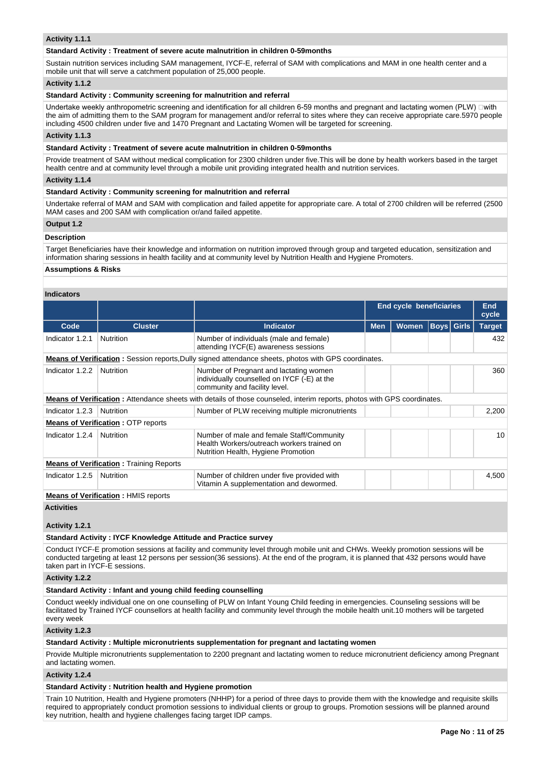#### **Activity 1.1.1**

#### **Standard Activity : Treatment of severe acute malnutrition in children 0-59months**

Sustain nutrition services including SAM management, IYCF-E, referral of SAM with complications and MAM in one health center and a mobile unit that will serve a catchment population of 25,000 people.

#### **Activity 1.1.2**

# **Standard Activity : Community screening for malnutrition and referral**

Undertake weekly anthropometric screening and identification for all children 6-59 months and pregnant and lactating women (PLW)  $\Box$ with the aim of admitting them to the SAM program for management and/or referral to sites where they can receive appropriate care.5970 people including 4500 children under five and 1470 Pregnant and Lactating Women will be targeted for screening.

# **Activity 1.1.3**

#### **Standard Activity : Treatment of severe acute malnutrition in children 0-59months**

Provide treatment of SAM without medical complication for 2300 children under five.This will be done by health workers based in the target health centre and at community level through a mobile unit providing integrated health and nutrition services.

#### **Activity 1.1.4**

#### **Standard Activity : Community screening for malnutrition and referral**

Undertake referral of MAM and SAM with complication and failed appetite for appropriate care. A total of 2700 children will be referred (2500 MAM cases and 200 SAM with complication or/and failed appetite.

#### **Output 1.2**

# **Description**

Target Beneficiaries have their knowledge and information on nutrition improved through group and targeted education, sensitization and information sharing sessions in health facility and at community level by Nutrition Health and Hygiene Promoters.

#### **Assumptions & Risks**

#### **Indicators**

|                                                                                                             |                                           |                                                                                                                                |            | <b>End cycle beneficiaries</b> |                   |  | <b>End</b><br>cycle |  |  |
|-------------------------------------------------------------------------------------------------------------|-------------------------------------------|--------------------------------------------------------------------------------------------------------------------------------|------------|--------------------------------|-------------------|--|---------------------|--|--|
| Code                                                                                                        | <b>Cluster</b>                            | Indicator                                                                                                                      | <b>Men</b> | <b>Women</b>                   | <b>Boys</b> Girls |  | <b>Target</b>       |  |  |
| Indicator 1.2.1                                                                                             | <b>Nutrition</b>                          | Number of individuals (male and female)<br>attending IYCF(E) awareness sessions                                                |            |                                |                   |  | 432                 |  |  |
| <b>Means of Verification:</b> Session reports, Dully signed attendance sheets, photos with GPS coordinates. |                                           |                                                                                                                                |            |                                |                   |  |                     |  |  |
| Indicator 1.2.2                                                                                             | <b>Nutrition</b>                          | Number of Pregnant and lactating women<br>individually counselled on IYCF (-E) at the<br>community and facility level.         |            |                                |                   |  | 360                 |  |  |
|                                                                                                             |                                           | <b>Means of Verification:</b> Attendance sheets with details of those counseled, interim reports, photos with GPS coordinates. |            |                                |                   |  |                     |  |  |
| Indicator 1.2.3                                                                                             | <b>Nutrition</b>                          | Number of PLW receiving multiple micronutrients                                                                                |            |                                |                   |  | 2,200               |  |  |
|                                                                                                             | <b>Means of Verification: OTP reports</b> |                                                                                                                                |            |                                |                   |  |                     |  |  |
| Indicator 1.2.4                                                                                             | Nutrition                                 | Number of male and female Staff/Community<br>Health Workers/outreach workers trained on<br>Nutrition Health, Hygiene Promotion |            |                                |                   |  | 10                  |  |  |
| <b>Means of Verification:</b> Training Reports                                                              |                                           |                                                                                                                                |            |                                |                   |  |                     |  |  |
| Indicator 1.2.5                                                                                             | Nutrition                                 | Number of children under five provided with<br>Vitamin A supplementation and dewormed.                                         |            |                                |                   |  | 4,500               |  |  |

**Means of Verification :** HMIS reports

#### **Activities**

**Activity 1.2.1** 

#### **Standard Activity : IYCF Knowledge Attitude and Practice survey**

Conduct IYCF-E promotion sessions at facility and community level through mobile unit and CHWs. Weekly promotion sessions will be conducted targeting at least 12 persons per session(36 sessions). At the end of the program, it is planned that 432 persons would have taken part in IYCF-E sessions.

**Activity 1.2.2** 

#### **Standard Activity : Infant and young child feeding counselling**

Conduct weekly individual one on one counselling of PLW on Infant Young Child feeding in emergencies. Counseling sessions will be facilitated by Trained IYCF counsellors at health facility and community level through the mobile health unit.10 mothers will be targeted every week

#### **Activity 1.2.3**

#### **Standard Activity : Multiple micronutrients supplementation for pregnant and lactating women**

Provide Multiple micronutrients supplementation to 2200 pregnant and lactating women to reduce micronutrient deficiency among Pregnant and lactating women.

#### **Activity 1.2.4**

#### **Standard Activity : Nutrition health and Hygiene promotion**

Train 10 Nutrition, Health and Hygiene promoters (NHHP) for a period of three days to provide them with the knowledge and requisite skills required to appropriately conduct promotion sessions to individual clients or group to groups. Promotion sessions will be planned around key nutrition, health and hygiene challenges facing target IDP camps.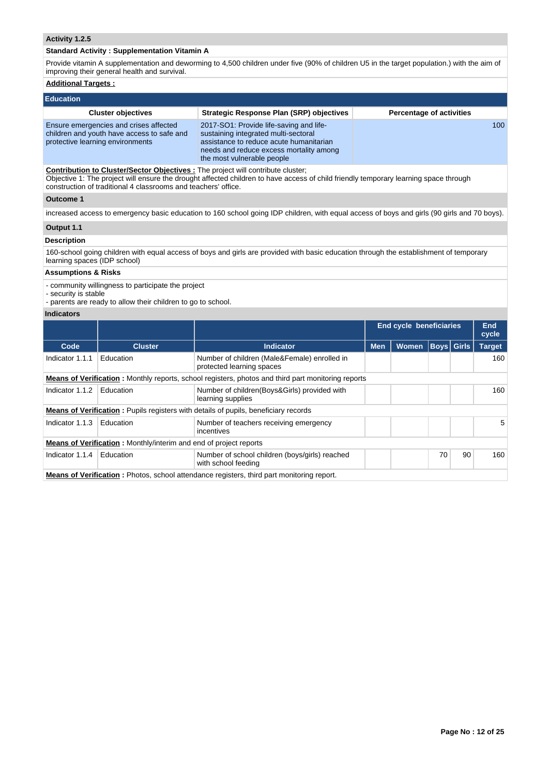# **Activity 1.2.5**

#### **Standard Activity : Supplementation Vitamin A**

Provide vitamin A supplementation and deworming to 4,500 children under five (90% of children U5 in the target population.) with the aim of improving their general health and survival.

# **Additional Targets :**

| Education                                                                                                                                                                                                                       |                                                                                                                                                                                                     |                                 |  |  |  |  |  |  |  |
|---------------------------------------------------------------------------------------------------------------------------------------------------------------------------------------------------------------------------------|-----------------------------------------------------------------------------------------------------------------------------------------------------------------------------------------------------|---------------------------------|--|--|--|--|--|--|--|
| <b>Cluster objectives</b>                                                                                                                                                                                                       | Strategic Response Plan (SRP) objectives                                                                                                                                                            | <b>Percentage of activities</b> |  |  |  |  |  |  |  |
| Ensure emergencies and crises affected<br>children and youth have access to safe and<br>protective learning environments                                                                                                        | 2017-SO1: Provide life-saving and life-<br>sustaining integrated multi-sectoral<br>assistance to reduce acute humanitarian<br>needs and reduce excess mortality among<br>the most vulnerable people | 100                             |  |  |  |  |  |  |  |
| <b>Contribution to Cluster/Sector Objectives:</b> The project will contribute cluster;<br>Ohioethic 1: The project will enoure the drawpht offected objidres to hous cessor of shild friendly temperany learning appeal through |                                                                                                                                                                                                     |                                 |  |  |  |  |  |  |  |

Objective 1: The project will ensure the drought affected children to have access of child friendly temporary learning space through construction of traditional 4 classrooms and teachers' office.

# **Outcome 1**

increased access to emergency basic education to 160 school going IDP children, with equal access of boys and girls (90 girls and 70 boys).

# **Output 1.1**

# **Description**

160-school going children with equal access of boys and girls are provided with basic education through the establishment of temporary learning spaces (IDP school)

# **Assumptions & Risks**

- community willingness to participate the project

- security is stable
- parents are ready to allow their children to go to school.

|                                                                                                           |                                                                          |                                                                                            |            | End cycle beneficiaries |    |                   | End<br>cycle  |  |  |  |
|-----------------------------------------------------------------------------------------------------------|--------------------------------------------------------------------------|--------------------------------------------------------------------------------------------|------------|-------------------------|----|-------------------|---------------|--|--|--|
| Code                                                                                                      | <b>Cluster</b>                                                           | <b>Indicator</b>                                                                           | <b>Men</b> | <b>Women</b>            |    | <b>Boys</b> Girls | <b>Target</b> |  |  |  |
| Indicator 1.1.1                                                                                           | Education                                                                | Number of children (Male&Female) enrolled in<br>protected learning spaces                  |            |                         |    |                   | 160           |  |  |  |
| <b>Means of Verification:</b> Monthly reports, school registers, photos and third part monitoring reports |                                                                          |                                                                                            |            |                         |    |                   |               |  |  |  |
| Indicator 1.1.2                                                                                           | Education                                                                | Number of children (Boys&Girls) provided with<br>learning supplies                         |            |                         |    |                   | 160           |  |  |  |
|                                                                                                           |                                                                          | <b>Means of Verification:</b> Pupils registers with details of pupils, beneficiary records |            |                         |    |                   |               |  |  |  |
| Indicator 1.1.3                                                                                           | Education                                                                | Number of teachers receiving emergency<br>incentives                                       |            |                         |    |                   | 5             |  |  |  |
|                                                                                                           | <b>Means of Verification:</b> Monthly/interim and end of project reports |                                                                                            |            |                         |    |                   |               |  |  |  |
| Indicator 1.1.4                                                                                           | Education                                                                | Number of school children (boys/girls) reached<br>with school feeding                      |            |                         | 70 | 90                | 160           |  |  |  |
| <b>Means of Verification:</b> Photos, school attendance registers, third part monitoring report.          |                                                                          |                                                                                            |            |                         |    |                   |               |  |  |  |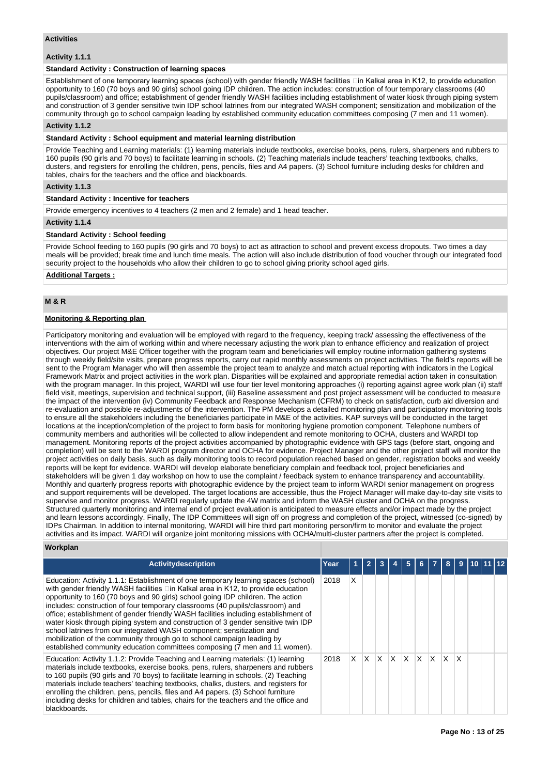#### **Activities**

#### **Activity 1.1.1**

#### **Standard Activity : Construction of learning spaces**

Establishment of one temporary learning spaces (school) with gender friendly WASH facilities  $\Box$ in Kalkal area in K12, to provide education opportunity to 160 (70 boys and 90 girls) school going IDP children. The action includes: construction of four temporary classrooms (40 pupils/classroom) and office; establishment of gender friendly WASH facilities including establishment of water kiosk through piping system and construction of 3 gender sensitive twin IDP school latrines from our integrated WASH component; sensitization and mobilization of the community through go to school campaign leading by established community education committees composing (7 men and 11 women).

# **Activity 1.1.2**

#### **Standard Activity : School equipment and material learning distribution**

Provide Teaching and Learning materials: (1) learning materials include textbooks, exercise books, pens, rulers, sharpeners and rubbers to 160 pupils (90 girls and 70 boys) to facilitate learning in schools. (2) Teaching materials include teachers' teaching textbooks, chalks, dusters, and registers for enrolling the children, pens, pencils, files and A4 papers. (3) School furniture including desks for children and tables, chairs for the teachers and the office and blackboards.

#### **Activity 1.1.3**

#### **Standard Activity : Incentive for teachers**

Provide emergency incentives to 4 teachers (2 men and 2 female) and 1 head teacher.

#### **Activity 1.1.4**

#### **Standard Activity : School feeding**

Provide School feeding to 160 pupils (90 girls and 70 boys) to act as attraction to school and prevent excess dropouts. Two times a day meals will be provided; break time and lunch time meals. The action will also include distribution of food voucher through our integrated food security project to the households who allow their children to go to school giving priority school aged girls.

# **Additional Targets :**

#### **M & R**

# **Monitoring & Reporting plan**

Participatory monitoring and evaluation will be employed with regard to the frequency, keeping track/ assessing the effectiveness of the interventions with the aim of working within and where necessary adjusting the work plan to enhance efficiency and realization of project objectives. Our project M&E Officer together with the program team and beneficiaries will employ routine information gathering systems through weekly field/site visits, prepare progress reports, carry out rapid monthly assessments on project activities. The field's reports will be sent to the Program Manager who will then assemble the project team to analyze and match actual reporting with indicators in the Logical Framework Matrix and project activities in the work plan. Disparities will be explained and appropriate remedial action taken in consultation with the program manager. In this project, WARDI will use four tier level monitoring approaches (i) reporting against agree work plan (ii) staff field visit, meetings, supervision and technical support, (iii) Baseline assessment and post project assessment will be conducted to measure the impact of the intervention (iv) Community Feedback and Response Mechanism (CFRM) to check on satisfaction, curb aid diversion and re-evaluation and possible re-adjustments of the intervention. The PM develops a detailed monitoring plan and participatory monitoring tools to ensure all the stakeholders including the beneficiaries participate in M&E of the activities. KAP surveys will be conducted in the target locations at the inception/completion of the project to form basis for monitoring hygiene promotion component. Telephone numbers of community members and authorities will be collected to allow independent and remote monitoring to OCHA, clusters and WARDI top management. Monitoring reports of the project activities accompanied by photographic evidence with GPS tags (before start, ongoing and completion) will be sent to the WARDI program director and OCHA for evidence. Project Manager and the other project staff will monitor the project activities on daily basis, such as daily monitoring tools to record population reached based on gender, registration books and weekly reports will be kept for evidence. WARDI will develop elaborate beneficiary complain and feedback tool, project beneficiaries and stakeholders will be given 1 day workshop on how to use the complaint / feedback system to enhance transparency and accountability. Monthly and quarterly progress reports with photographic evidence by the project team to inform WARDI senior management on progress and support requirements will be developed. The target locations are accessible, thus the Project Manager will make day-to-day site visits to supervise and monitor progress. WARDI regularly update the 4W matrix and inform the WASH cluster and OCHA on the progress. Structured quarterly monitoring and internal end of project evaluation is anticipated to measure effects and/or impact made by the project and learn lessons accordingly. Finally, The IDP Committees will sign off on progress and completion of the project, witnessed (co-signed) by IDPs Chairman. In addition to internal monitoring, WARDI will hire third part monitoring person/firm to monitor and evaluate the project activities and its impact. WARDI will organize joint monitoring missions with OCHA/multi-cluster partners after the project is completed.

#### **Workplan**

| <b>Activitydescription</b>                                                                                                                                                                                                                                                                                                                                                                                                                                                                                                                                                                                                                                                                                                                               | Year |    | $\overline{2}$ | 3  |     | 5 |          |   |              | 9 |  |  |
|----------------------------------------------------------------------------------------------------------------------------------------------------------------------------------------------------------------------------------------------------------------------------------------------------------------------------------------------------------------------------------------------------------------------------------------------------------------------------------------------------------------------------------------------------------------------------------------------------------------------------------------------------------------------------------------------------------------------------------------------------------|------|----|----------------|----|-----|---|----------|---|--------------|---|--|--|
| Education: Activity 1.1.1: Establishment of one temporary learning spaces (school)<br>with gender friendly WASH facilities □in Kalkal area in K12, to provide education<br>opportunity to 160 (70 boys and 90 girls) school going IDP children. The action<br>includes: construction of four temporary classrooms (40 pupils/classroom) and<br>office; establishment of gender friendly WASH facilities including establishment of<br>water kiosk through piping system and construction of 3 gender sensitive twin IDP<br>school latrines from our integrated WASH component; sensitization and<br>mobilization of the community through go to school campaign leading by<br>established community education committees composing (7 men and 11 women). | 2018 | X  |                |    |     |   |          |   |              |   |  |  |
| Education: Activity 1.1.2: Provide Teaching and Learning materials: (1) learning<br>materials include textbooks, exercise books, pens, rulers, sharpeners and rubbers<br>to 160 pupils (90 girls and 70 boys) to facilitate learning in schools. (2) Teaching<br>materials include teachers' teaching textbooks, chalks, dusters, and registers for<br>enrolling the children, pens, pencils, files and A4 papers. (3) School furniture<br>including desks for children and tables, chairs for the teachers and the office and<br>blackboards.                                                                                                                                                                                                           | 2018 | X. | X              | X. | ΙX. | X | $\times$ | X | $\mathsf{x}$ | X |  |  |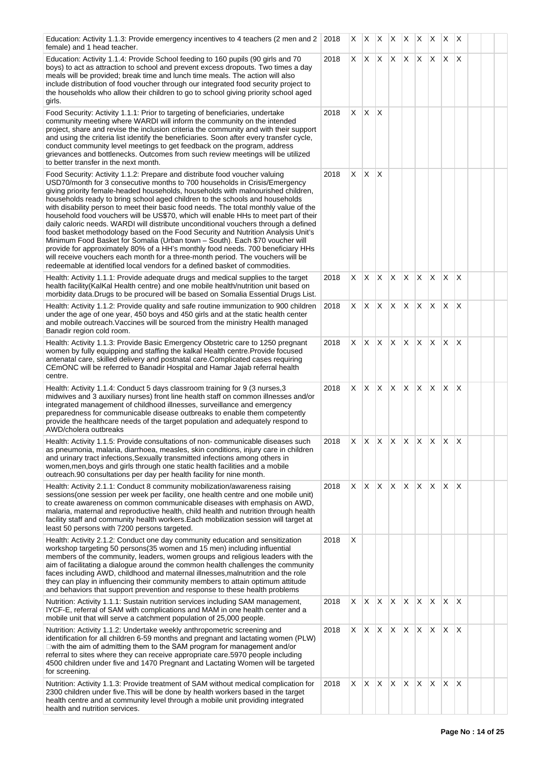| Education: Activity 1.1.3: Provide emergency incentives to 4 teachers (2 men and 2 2018<br>female) and 1 head teacher.                                                                                                                                                                                                                                                                                                                                                                                                                                                                                                                                                                                                                                                                                                                                                                                                                                                                                                       |      | X  | IX.                      | <b>XX</b>    |              | X            | X.             | X            | X                         | $\mathsf{X}$ |  |  |
|------------------------------------------------------------------------------------------------------------------------------------------------------------------------------------------------------------------------------------------------------------------------------------------------------------------------------------------------------------------------------------------------------------------------------------------------------------------------------------------------------------------------------------------------------------------------------------------------------------------------------------------------------------------------------------------------------------------------------------------------------------------------------------------------------------------------------------------------------------------------------------------------------------------------------------------------------------------------------------------------------------------------------|------|----|--------------------------|--------------|--------------|--------------|----------------|--------------|---------------------------|--------------|--|--|
| Education: Activity 1.1.4: Provide School feeding to 160 pupils (90 girls and 70<br>boys) to act as attraction to school and prevent excess dropouts. Two times a day<br>meals will be provided; break time and lunch time meals. The action will also<br>include distribution of food voucher through our integrated food security project to<br>the households who allow their children to go to school giving priority school aged<br>girls.                                                                                                                                                                                                                                                                                                                                                                                                                                                                                                                                                                              | 2018 | X. | ΙX.                      | $\mathsf{X}$ | $\mathsf{X}$ | X.           | $\mathsf{X}^-$ | X.           | X.                        | $\times$     |  |  |
| Food Security: Activity 1.1.1: Prior to targeting of beneficiaries, undertake<br>community meeting where WARDI will inform the community on the intended<br>project, share and revise the inclusion criteria the community and with their support<br>and using the criteria list identify the beneficiaries. Soon after every transfer cycle,<br>conduct community level meetings to get feedback on the program, address<br>grievances and bottlenecks. Outcomes from such review meetings will be utilized<br>to better transfer in the next month.                                                                                                                                                                                                                                                                                                                                                                                                                                                                        | 2018 | X  | X                        | ΙX           |              |              |                |              |                           |              |  |  |
| Food Security: Activity 1.1.2: Prepare and distribute food voucher valuing<br>USD70/month for 3 consecutive months to 700 households in Crisis/Emergency<br>giving priority female-headed households, households with malnourished children,<br>households ready to bring school aged children to the schools and households<br>with disability person to meet their basic food needs. The total monthly value of the<br>household food vouchers will be US\$70, which will enable HHs to meet part of their<br>daily caloric needs. WARDI will distribute unconditional vouchers through a defined<br>food basket methodology based on the Food Security and Nutrition Analysis Unit's<br>Minimum Food Basket for Somalia (Urban town - South). Each \$70 voucher will<br>provide for approximately 80% of a HH's monthly food needs. 700 beneficiary HHs<br>will receive vouchers each month for a three-month period. The vouchers will be<br>redeemable at identified local vendors for a defined basket of commodities. | 2018 | X. | $\mathsf{X}$             | $\mathsf{X}$ |              |              |                |              |                           |              |  |  |
| Health: Activity 1.1.1: Provide adequate drugs and medical supplies to the target<br>health facility (KalKal Health centre) and one mobile health/nutrition unit based on<br>morbidity data. Drugs to be procured will be based on Somalia Essential Drugs List.                                                                                                                                                                                                                                                                                                                                                                                                                                                                                                                                                                                                                                                                                                                                                             | 2018 | X  | X                        | X.           | IX.          | X            | X              | X            | X                         | X            |  |  |
| Health: Activity 1.1.2: Provide quality and safe routine immunization to 900 children<br>under the age of one year, 450 boys and 450 girls and at the static health center<br>and mobile outreach. Vaccines will be sourced from the ministry Health managed<br>Banadir region cold room.                                                                                                                                                                                                                                                                                                                                                                                                                                                                                                                                                                                                                                                                                                                                    | 2018 | X. | X.                       |              | $X \times X$ |              | X              | X.           | IX.                       | $\mathsf{X}$ |  |  |
| Health: Activity 1.1.3: Provide Basic Emergency Obstetric care to 1250 pregnant<br>women by fully equipping and staffing the kalkal Health centre. Provide focused<br>antenatal care, skilled delivery and postnatal care. Complicated cases requiring<br>CEmONC will be referred to Banadir Hospital and Hamar Jajab referral health<br>centre.                                                                                                                                                                                                                                                                                                                                                                                                                                                                                                                                                                                                                                                                             | 2018 | X. | $X \mid X \mid X \mid X$ |              |              |              | ΙX.            | $\mathsf{X}$ | x x                       |              |  |  |
| Health: Activity 1.1.4: Conduct 5 days classroom training for 9 (3 nurses, 3<br>midwives and 3 auxiliary nurses) front line health staff on common illnesses and/or<br>integrated management of childhood illnesses, surveillance and emergency<br>preparedness for communicable disease outbreaks to enable them competently<br>provide the healthcare needs of the target population and adequately respond to<br>AWD/cholera outbreaks                                                                                                                                                                                                                                                                                                                                                                                                                                                                                                                                                                                    | 2018 | X  | X                        | X.           | ΙX.          | $\times$     | X              | X            | X                         | X            |  |  |
| Health: Activity 1.1.5: Provide consultations of non-communicable diseases such<br>as pneumonia, malaria, diarrhoea, measles, skin conditions, injury care in children<br>and urinary tract infections, Sexually transmitted infections among others in<br>women, men, boys and girls through one static health facilities and a mobile<br>outreach.90 consultations per day per health facility for nine month.                                                                                                                                                                                                                                                                                                                                                                                                                                                                                                                                                                                                             | 2018 | X  | IX.                      |              | $ X $ $ X $  |              | X.             | XX           |                           | X            |  |  |
| Health: Activity 2.1.1: Conduct 8 community mobilization/awareness raising<br>sessions(one session per week per facility, one health centre and one mobile unit)<br>to create awareness on common communicable diseases with emphasis on AWD,<br>malaria, maternal and reproductive health, child health and nutrition through health<br>facility staff and community health workers. Each mobilization session will target at<br>least 50 persons with 7200 persons targeted.                                                                                                                                                                                                                                                                                                                                                                                                                                                                                                                                               | 2018 | X. | IX.                      | X X          |              | IX.          | X.             | $\mathsf{X}$ | $\mathsf{X}$ $\mathsf{X}$ |              |  |  |
| Health: Activity 2.1.2: Conduct one day community education and sensitization<br>workshop targeting 50 persons(35 women and 15 men) including influential<br>members of the community, leaders, women groups and religious leaders with the<br>aim of facilitating a dialogue around the common health challenges the community<br>faces including AWD, childhood and maternal illnesses, malnutrition and the role<br>they can play in influencing their community members to attain optimum attitude<br>and behaviors that support prevention and response to these health problems                                                                                                                                                                                                                                                                                                                                                                                                                                        | 2018 | X  |                          |              |              |              |                |              |                           |              |  |  |
| Nutrition: Activity 1.1.1: Sustain nutrition services including SAM management,<br>IYCF-E, referral of SAM with complications and MAM in one health center and a<br>mobile unit that will serve a catchment population of 25,000 people.                                                                                                                                                                                                                                                                                                                                                                                                                                                                                                                                                                                                                                                                                                                                                                                     | 2018 | X  | X                        | X            | $\mathsf{X}$ | X            | X              | X.           | IX.                       | ΙX           |  |  |
| Nutrition: Activity 1.1.2: Undertake weekly anthropometric screening and<br>identification for all children 6-59 months and pregnant and lactating women (PLW)<br>□ with the aim of admitting them to the SAM program for management and/or<br>referral to sites where they can receive appropriate care.5970 people including<br>4500 children under five and 1470 Pregnant and Lactating Women will be targeted<br>for screening.                                                                                                                                                                                                                                                                                                                                                                                                                                                                                                                                                                                          | 2018 | X. | IX.                      | X X          |              | $\mathsf{X}$ | IX.            | $\mathsf{X}$ | $\mathsf{X}$ $\mathsf{X}$ |              |  |  |
| Nutrition: Activity 1.1.3: Provide treatment of SAM without medical complication for<br>2300 children under five. This will be done by health workers based in the target<br>health centre and at community level through a mobile unit providing integrated<br>health and nutrition services.                                                                                                                                                                                                                                                                                                                                                                                                                                                                                                                                                                                                                                                                                                                               | 2018 | X  | X                        | X.           | ΙX.          | X            | X              | X            | X.                        | X            |  |  |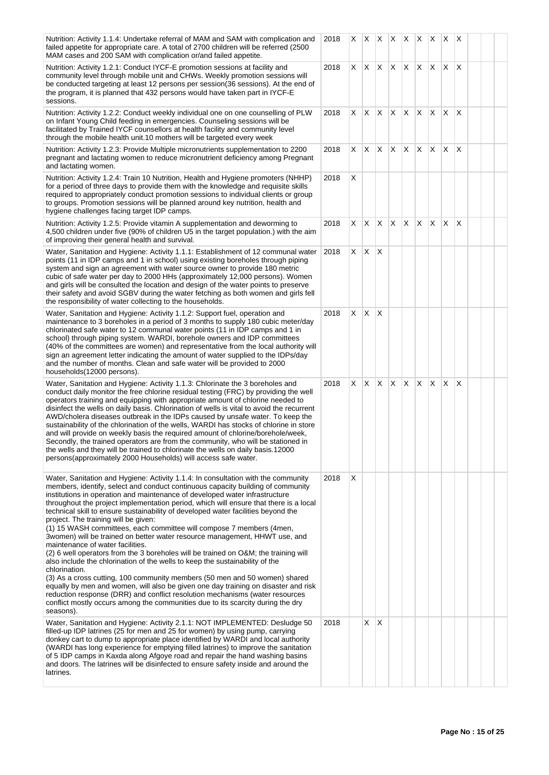| Nutrition: Activity 1.1.4: Undertake referral of MAM and SAM with complication and<br>failed appetite for appropriate care. A total of 2700 children will be referred (2500)<br>MAM cases and 200 SAM with complication or/and failed appetite.                                                                                                                                                                                                                                                                                                                                                                                                                                                                                                                                                                                                                                                                                                                                                                                                                                                                                                                                                                | 2018 | X. |     |              | $x \times x$            |          |    | $ X $ $ X $ $ X $ |     |   |  |  |
|----------------------------------------------------------------------------------------------------------------------------------------------------------------------------------------------------------------------------------------------------------------------------------------------------------------------------------------------------------------------------------------------------------------------------------------------------------------------------------------------------------------------------------------------------------------------------------------------------------------------------------------------------------------------------------------------------------------------------------------------------------------------------------------------------------------------------------------------------------------------------------------------------------------------------------------------------------------------------------------------------------------------------------------------------------------------------------------------------------------------------------------------------------------------------------------------------------------|------|----|-----|--------------|-------------------------|----------|----|-------------------|-----|---|--|--|
| Nutrition: Activity 1.2.1: Conduct IYCF-E promotion sessions at facility and<br>community level through mobile unit and CHWs. Weekly promotion sessions will<br>be conducted targeting at least 12 persons per session(36 sessions). At the end of<br>the program, it is planned that 432 persons would have taken part in IYCF-E<br>sessions.                                                                                                                                                                                                                                                                                                                                                                                                                                                                                                                                                                                                                                                                                                                                                                                                                                                                 | 2018 | X. | X.  |              | $\mathsf{X} \mathsf{X}$ | X.       | X. | Χ                 | X.  | X |  |  |
| Nutrition: Activity 1.2.2: Conduct weekly individual one on one counselling of PLW<br>on Infant Young Child feeding in emergencies. Counseling sessions will be<br>facilitated by Trained IYCF counsellors at health facility and community level<br>through the mobile health unit.10 mothers will be targeted every week                                                                                                                                                                                                                                                                                                                                                                                                                                                                                                                                                                                                                                                                                                                                                                                                                                                                                     | 2018 | X. | X   | X.           | $\mathsf{X}$            | $\times$ | X. | X                 | X.  | X |  |  |
| Nutrition: Activity 1.2.3: Provide Multiple micronutrients supplementation to 2200<br>pregnant and lactating women to reduce micronutrient deficiency among Pregnant<br>and lactating women.                                                                                                                                                                                                                                                                                                                                                                                                                                                                                                                                                                                                                                                                                                                                                                                                                                                                                                                                                                                                                   | 2018 | X. | IX. |              | $x \times x$            |          | X. | $\mathsf{X}$      | ΙX. | X |  |  |
| Nutrition: Activity 1.2.4: Train 10 Nutrition, Health and Hygiene promoters (NHHP)<br>for a period of three days to provide them with the knowledge and requisite skills<br>required to appropriately conduct promotion sessions to individual clients or group<br>to groups. Promotion sessions will be planned around key nutrition, health and<br>hygiene challenges facing target IDP camps.                                                                                                                                                                                                                                                                                                                                                                                                                                                                                                                                                                                                                                                                                                                                                                                                               | 2018 | X  |     |              |                         |          |    |                   |     |   |  |  |
| Nutrition: Activity 1.2.5: Provide vitamin A supplementation and deworming to<br>4,500 children under five (90% of children U5 in the target population.) with the aim<br>of improving their general health and survival.                                                                                                                                                                                                                                                                                                                                                                                                                                                                                                                                                                                                                                                                                                                                                                                                                                                                                                                                                                                      | 2018 | X  | X   | X.           | $\mathsf{X}$            | X        | X  | X                 | X   | X |  |  |
| Water, Sanitation and Hygiene: Activity 1.1.1: Establishment of 12 communal water<br>points (11 in IDP camps and 1 in school) using existing boreholes through piping<br>system and sign an agreement with water source owner to provide 180 metric<br>cubic of safe water per day to 2000 HHs (approximately 12,000 persons). Women<br>and girls will be consulted the location and design of the water points to preserve<br>their safety and avoid SGBV during the water fetching as both women and girls fell<br>the responsibility of water collecting to the households.                                                                                                                                                                                                                                                                                                                                                                                                                                                                                                                                                                                                                                 | 2018 | X  | IX. | $\mathsf{X}$ |                         |          |    |                   |     |   |  |  |
| Water, Sanitation and Hygiene: Activity 1.1.2: Support fuel, operation and<br>maintenance to 3 boreholes in a period of 3 months to supply 180 cubic meter/day<br>chlorinated safe water to 12 communal water points (11 in IDP camps and 1 in<br>school) through piping system. WARDI, borehole owners and IDP committees<br>(40% of the committees are women) and representative from the local authority will<br>sign an agreement letter indicating the amount of water supplied to the IDPs/day<br>and the number of months. Clean and safe water will be provided to 2000<br>households(12000 persons).                                                                                                                                                                                                                                                                                                                                                                                                                                                                                                                                                                                                  | 2018 | X  | X.  | $\mathsf{X}$ |                         |          |    |                   |     |   |  |  |
| Water, Sanitation and Hygiene: Activity 1.1.3: Chlorinate the 3 boreholes and<br>conduct daily monitor the free chlorine residual testing (FRC) by providing the well<br>operators training and equipping with appropriate amount of chlorine needed to<br>disinfect the wells on daily basis. Chlorination of wells is vital to avoid the recurrent<br>AWD/cholera diseases outbreak in the IDPs caused by unsafe water. To keep the<br>sustainability of the chlorination of the wells, WARDI has stocks of chlorine in store<br>and will provide on weekly basis the required amount of chlorine/borehole/week,<br>Secondly, the trained operators are from the community, who will be stationed in<br>the wells and they will be trained to chlorinate the wells on daily basis.12000<br>persons(approximately 2000 Households) will access safe water.                                                                                                                                                                                                                                                                                                                                                    | 2018 | X. | X   |              | X                       | X.       | X. | X.                | X.  | X |  |  |
| Water, Sanitation and Hygiene: Activity 1.1.4: In consultation with the community<br>members, identify, select and conduct continuous capacity building of community<br>institutions in operation and maintenance of developed water infrastructure<br>throughout the project implementation period, which will ensure that there is a local<br>technical skill to ensure sustainability of developed water facilities beyond the<br>project. The training will be given:<br>(1) 15 WASH committees, each committee will compose 7 members (4men,<br>3women) will be trained on better water resource management, HHWT use, and<br>maintenance of water facilities.<br>(2) 6 well operators from the 3 boreholes will be trained on O&M the training will<br>also include the chlorination of the wells to keep the sustainability of the<br>chlorination.<br>(3) As a cross cutting, 100 community members (50 men and 50 women) shared<br>equally by men and women, will also be given one day training on disaster and risk<br>reduction response (DRR) and conflict resolution mechanisms (water resources<br>conflict mostly occurs among the communities due to its scarcity during the dry<br>seasons). | 2018 | X  |     |              |                         |          |    |                   |     |   |  |  |
| Water, Sanitation and Hygiene: Activity 2.1.1: NOT IMPLEMENTED: Desludge 50<br>filled-up IDP latrines (25 for men and 25 for women) by using pump, carrying<br>donkey cart to dump to appropriate place identified by WARDI and local authority<br>(WARDI has long experience for emptying filled latrines) to improve the sanitation<br>of 5 IDP camps in Kaxda along Afgoye road and repair the hand washing basins<br>and doors. The latrines will be disinfected to ensure safety inside and around the<br>latrines.                                                                                                                                                                                                                                                                                                                                                                                                                                                                                                                                                                                                                                                                                       | 2018 |    | X.  | $\mathsf{X}$ |                         |          |    |                   |     |   |  |  |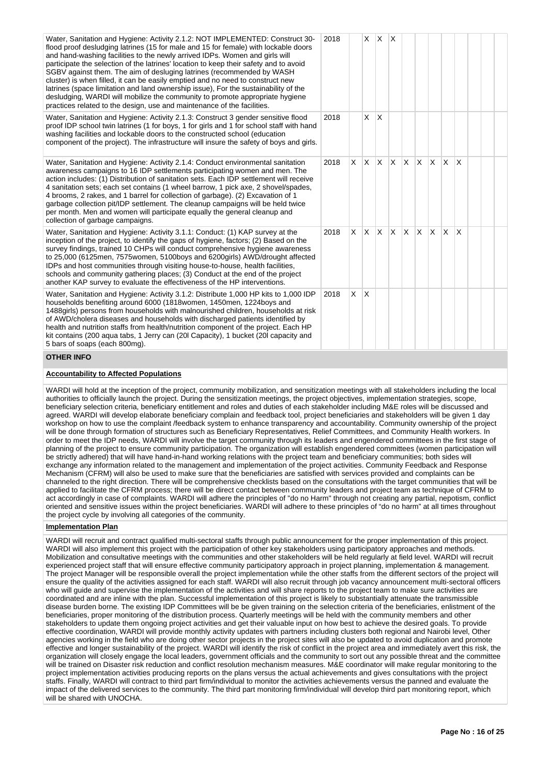| Water, Sanitation and Hygiene: Activity 2.1.2: NOT IMPLEMENTED: Construct 30-<br>flood proof desludging latrines (15 for male and 15 for female) with lockable doors<br>and hand-washing facilities to the newly arrived IDPs. Women and girls will<br>participate the selection of the latrines' location to keep their safety and to avoid<br>SGBV against them. The aim of desluging latrines (recommended by WASH<br>cluster) is when filled, it can be easily emptied and no need to construct new<br>latrines (space limitation and land ownership issue), For the sustainability of the<br>desludging, WARDI will mobilize the community to promote appropriate hygiene<br>practices related to the design, use and maintenance of the facilities. | 2018 |          |              | $x \mid x \mid x$ |     |     |                         |              |              |  |  |
|-----------------------------------------------------------------------------------------------------------------------------------------------------------------------------------------------------------------------------------------------------------------------------------------------------------------------------------------------------------------------------------------------------------------------------------------------------------------------------------------------------------------------------------------------------------------------------------------------------------------------------------------------------------------------------------------------------------------------------------------------------------|------|----------|--------------|-------------------|-----|-----|-------------------------|--------------|--------------|--|--|
| Water, Sanitation and Hygiene: Activity 2.1.3: Construct 3 gender sensitive flood<br>proof IDP school twin latrines (1 for boys, 1 for girls and 1 for school staff with hand<br>washing facilities and lockable doors to the constructed school (education<br>component of the project). The infrastructure will insure the safety of boys and girls.                                                                                                                                                                                                                                                                                                                                                                                                    | 2018 |          | X.           | ΙX.               |     |     |                         |              |              |  |  |
| Water, Sanitation and Hygiene: Activity 2.1.4: Conduct environmental sanitation<br>awareness campaigns to 16 IDP settlements participating women and men. The<br>action includes: (1) Distribution of sanitation sets. Each IDP settlement will receive<br>4 sanitation sets; each set contains (1 wheel barrow, 1 pick axe, 2 shovel/spades,<br>4 brooms, 2 rakes, and 1 barrel for collection of garbage). (2) Excavation of 1<br>garbage collection pit/IDP settlement. The cleanup campaigns will be held twice<br>per month. Men and women will participate equally the general cleanup and<br>collection of garbage campaigns.                                                                                                                      | 2018 |          |              | $X$ $X$ $X$ $X$   |     |     | $X$ $X$ $X$             | ΙX.          | ΙX.          |  |  |
| Water, Sanitation and Hygiene: Activity 3.1.1: Conduct: (1) KAP survey at the<br>inception of the project, to identify the gaps of hygiene, factors; (2) Based on the<br>survey findings, trained 10 CHPs will conduct comprehensive hygiene awareness<br>to 25,000 (6125men, 7575women, 5100boys and 6200girls) AWD/drought affected<br>IDPs and host communities through visiting house-to-house, health facilities,<br>schools and community gathering places; (3) Conduct at the end of the project<br>another KAP survey to evaluate the effectiveness of the HP interventions.                                                                                                                                                                      | 2018 |          |              | $X$ $X$ $X$       | ΙX. | ΙX. | $\mathsf{X} \mathsf{X}$ | $\mathsf{X}$ | <sup>X</sup> |  |  |
| Water, Sanitation and Hygiene: Activity 3.1.2: Distribute 1,000 HP kits to 1,000 IDP<br>households benefiting around 6000 (1818women, 1450men, 1224boys and<br>1488girls) persons from households with malnourished children, households at risk<br>of AWD/cholera diseases and households with discharged patients identified by<br>health and nutrition staffs from health/nutrition component of the project. Each HP<br>kit contains (200 aqua tabs, 1 Jerry can (20I Capacity), 1 bucket (20I capacity and<br>5 bars of soaps (each 800mg).                                                                                                                                                                                                          | 2018 | $\times$ | $\mathsf{X}$ |                   |     |     |                         |              |              |  |  |
| <b>OTHER INFO</b>                                                                                                                                                                                                                                                                                                                                                                                                                                                                                                                                                                                                                                                                                                                                         |      |          |              |                   |     |     |                         |              |              |  |  |

# **Accountability to Affected Populations**

WARDI will hold at the inception of the project, community mobilization, and sensitization meetings with all stakeholders including the local authorities to officially launch the project. During the sensitization meetings, the project objectives, implementation strategies, scope, beneficiary selection criteria, beneficiary entitlement and roles and duties of each stakeholder including M&E roles will be discussed and agreed. WARDI will develop elaborate beneficiary complain and feedback tool, project beneficiaries and stakeholders will be given 1 day workshop on how to use the complaint /feedback system to enhance transparency and accountability. Community ownership of the project will be done through formation of structures such as Beneficiary Representatives, Relief Committees, and Community Health workers. In order to meet the IDP needs, WARDI will involve the target community through its leaders and engendered committees in the first stage of planning of the project to ensure community participation. The organization will establish engendered committees (women participation will be strictly adhered) that will have hand-in-hand working relations with the project team and beneficiary communities; both sides will exchange any information related to the management and implementation of the project activities. Community Feedback and Response Mechanism (CFRM) will also be used to make sure that the beneficiaries are satisfied with services provided and complaints can be channeled to the right direction. There will be comprehensive checklists based on the consultations with the target communities that will be applied to facilitate the CFRM process; there will be direct contact between community leaders and project team as technique of CFRM to act accordingly in case of complaints. WARDI will adhere the principles of "do no Harm" through not creating any partial, nepotism, conflict oriented and sensitive issues within the project beneficiaries. WARDI will adhere to these principles of "do no harm" at all times throughout the project cycle by involving all categories of the community.

#### **Implementation Plan**

WARDI will recruit and contract qualified multi-sectoral staffs through public announcement for the proper implementation of this project. WARDI will also implement this project with the participation of other key stakeholders using participatory approaches and methods. Mobilization and consultative meetings with the communities and other stakeholders will be held regularly at field level. WARDI will recruit experienced project staff that will ensure effective community participatory approach in project planning, implementation & management. The project Manager will be responsible overall the project implementation while the other staffs from the different sectors of the project will ensure the quality of the activities assigned for each staff. WARDI will also recruit through job vacancy announcement multi-sectoral officers who will guide and supervise the implementation of the activities and will share reports to the project team to make sure activities are coordinated and are inline with the plan. Successful implementation of this project is likely to substantially attenuate the transmissible disease burden borne. The existing IDP Committees will be be given training on the selection criteria of the beneficiaries, enlistment of the beneficiaries, proper monitoring of the distribution process. Quarterly meetings will be held with the community members and other stakeholders to update them ongoing project activities and get their valuable input on how best to achieve the desired goals. To provide effective coordination, WARDI will provide monthly activity updates with partners including clusters both regional and Nairobi level, Other agencies working in the field who are doing other sector projects in the project sites will also be updated to avoid duplication and promote effective and longer sustainability of the project. WARDI will identify the risk of conflict in the project area and immediately avert this risk, the organization will closely engage the local leaders, government officials and the community to sort out any possible threat and the committee will be trained on Disaster risk reduction and conflict resolution mechanism measures. M&E coordinator will make regular monitoring to the project implementation activities producing reports on the plans versus the actual achievements and gives consultations with the project staffs. Finally, WARDI will contract to third part firm/individual to monitor the activities achievements versus the panned and evaluate the impact of the delivered services to the community. The third part monitoring firm/individual will develop third part monitoring report, which will be shared with UNOCHA.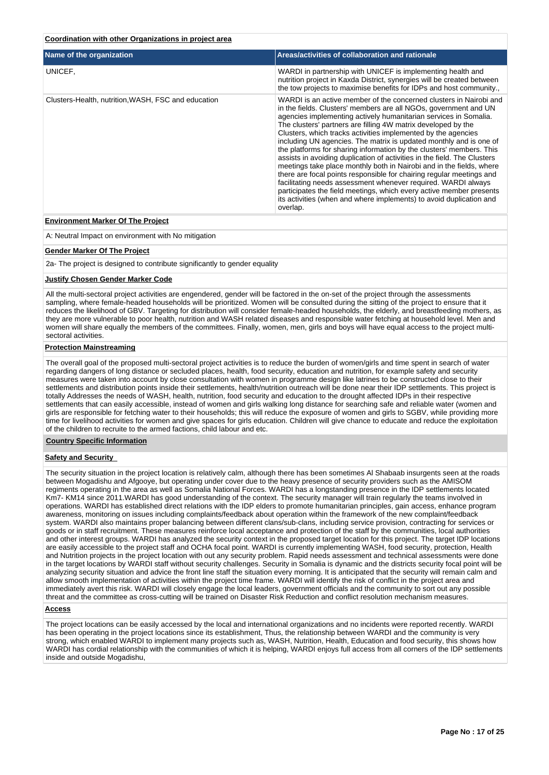#### **Coordination with other Organizations in project area**

| Name of the organization                            | Areas/activities of collaboration and rationale                                                                                                                                                                                                                                                                                                                                                                                                                                                                                                                                                                                                                                                                                                                                                                                                                                                                                                   |
|-----------------------------------------------------|---------------------------------------------------------------------------------------------------------------------------------------------------------------------------------------------------------------------------------------------------------------------------------------------------------------------------------------------------------------------------------------------------------------------------------------------------------------------------------------------------------------------------------------------------------------------------------------------------------------------------------------------------------------------------------------------------------------------------------------------------------------------------------------------------------------------------------------------------------------------------------------------------------------------------------------------------|
| UNICEF,                                             | WARDI in partnership with UNICEF is implementing health and<br>nutrition project in Kaxda District, synergies will be created between<br>the tow projects to maximise benefits for IDPs and host community                                                                                                                                                                                                                                                                                                                                                                                                                                                                                                                                                                                                                                                                                                                                        |
| Clusters-Health, nutrition, WASH, FSC and education | WARDI is an active member of the concerned clusters in Nairobi and<br>in the fields. Clusters' members are all NGOs, government and UN<br>agencies implementing actively humanitarian services in Somalia.<br>The clusters' partners are filling 4W matrix developed by the<br>Clusters, which tracks activities implemented by the agencies<br>including UN agencies. The matrix is updated monthly and is one of<br>the platforms for sharing information by the clusters' members. This<br>assists in avoiding duplication of activities in the field. The Clusters<br>meetings take place monthly both in Nairobi and in the fields, where<br>there are focal points responsible for chairing regular meetings and<br>facilitating needs assessment whenever required. WARDI always<br>participates the field meetings, which every active member presents<br>its activities (when and where implements) to avoid duplication and<br>overlap. |

#### **Environment Marker Of The Project**

A: Neutral Impact on environment with No mitigation

#### **Gender Marker Of The Project**

2a- The project is designed to contribute significantly to gender equality

#### **Justify Chosen Gender Marker Code**

All the multi-sectoral project activities are engendered, gender will be factored in the on-set of the project through the assessments sampling, where female-headed households will be prioritized. Women will be consulted during the sitting of the project to ensure that it reduces the likelihood of GBV. Targeting for distribution will consider female-headed households, the elderly, and breastfeeding mothers, as they are more vulnerable to poor health, nutrition and WASH related diseases and responsible water fetching at household level. Men and women will share equally the members of the committees. Finally, women, men, girls and boys will have equal access to the project multisectoral activities.

#### **Protection Mainstreaming**

The overall goal of the proposed multi-sectoral project activities is to reduce the burden of women/girls and time spent in search of water regarding dangers of long distance or secluded places, health, food security, education and nutrition, for example safety and security measures were taken into account by close consultation with women in programme design like latrines to be constructed close to their settlements and distribution points inside their settlements, health/nutrition outreach will be done near their IDP settlements. This project is totally Addresses the needs of WASH, health, nutrition, food security and education to the drought affected IDPs in their respective settlements that can easily accessible, instead of women and girls walking long distance for searching safe and reliable water (women and girls are responsible for fetching water to their households; this will reduce the exposure of women and girls to SGBV, while providing more time for livelihood activities for women and give spaces for girls education. Children will give chance to educate and reduce the exploitation of the children to recruite to the armed factions, child labour and etc.

#### **Country Specific Information**

#### **Safety and Security**

The security situation in the project location is relatively calm, although there has been sometimes Al Shabaab insurgents seen at the roads between Mogadishu and Afgooye, but operating under cover due to the heavy presence of security providers such as the AMISOM regiments operating in the area as well as Somalia National Forces. WARDI has a longstanding presence in the IDP settlements located Km7- KM14 since 2011.WARDI has good understanding of the context. The security manager will train regularly the teams involved in operations. WARDI has established direct relations with the IDP elders to promote humanitarian principles, gain access, enhance program awareness, monitoring on issues including complaints/feedback about operation within the framework of the new complaint/feedback system. WARDI also maintains proper balancing between different clans/sub-clans, including service provision, contracting for services or goods or in staff recruitment. These measures reinforce local acceptance and protection of the staff by the communities, local authorities and other interest groups. WARDI has analyzed the security context in the proposed target location for this project. The target IDP locations are easily accessible to the project staff and OCHA focal point. WARDI is currently implementing WASH, food security, protection, Health and Nutrition projects in the project location with out any security problem. Rapid needs assessment and technical assessments were done in the target locations by WARDI staff without security challenges. Security in Somalia is dynamic and the districts security focal point will be analyzing security situation and advice the front line staff the situation every morning. It is anticipated that the security will remain calm and allow smooth implementation of activities within the project time frame. WARDI will identify the risk of conflict in the project area and immediately avert this risk. WARDI will closely engage the local leaders, government officials and the community to sort out any possible threat and the committee as cross-cutting will be trained on Disaster Risk Reduction and conflict resolution mechanism measures.

#### **Access**

The project locations can be easily accessed by the local and international organizations and no incidents were reported recently. WARDI has been operating in the project locations since its establishment, Thus, the relationship between WARDI and the community is very strong, which enabled WARDI to implement many projects such as, WASH, Nutrition, Health, Education and food security, this shows how WARDI has cordial relationship with the communities of which it is helping, WARDI enjoys full access from all corners of the IDP settlements inside and outside Mogadishu,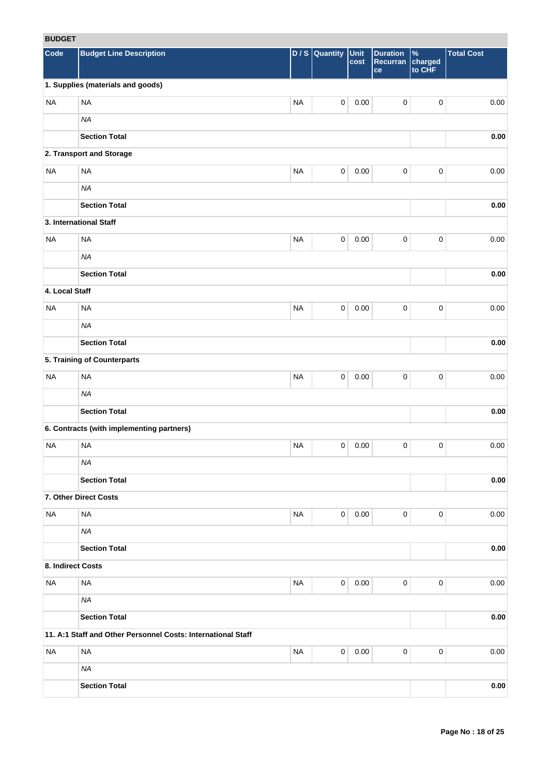# **BUDGET**

| <b>RUDGEI</b>     |                                                              |           |                     |              |                                   |                                    |                   |
|-------------------|--------------------------------------------------------------|-----------|---------------------|--------------|-----------------------------------|------------------------------------|-------------------|
| Code              | <b>Budget Line Description</b>                               | D/S       | Quantity            | Unit<br>cost | <b>Duration</b><br>Recurran<br>ce | $\frac{9}{6}$<br>charged<br>to CHF | <b>Total Cost</b> |
|                   | 1. Supplies (materials and goods)                            |           |                     |              |                                   |                                    |                   |
| <b>NA</b>         | <b>NA</b>                                                    | <b>NA</b> | $\mathsf{O}\xspace$ | 0.00         | $\mathbf 0$                       | $\pmb{0}$                          | 0.00              |
|                   | <b>NA</b>                                                    |           |                     |              |                                   |                                    |                   |
|                   | <b>Section Total</b>                                         |           |                     |              |                                   |                                    | 0.00              |
|                   | 2. Transport and Storage                                     |           |                     |              |                                   |                                    |                   |
| <b>NA</b>         | <b>NA</b>                                                    | <b>NA</b> | $\mathsf{O}\xspace$ | 0.00         | $\mathbf 0$                       | $\pmb{0}$                          | 0.00              |
|                   | <b>NA</b>                                                    |           |                     |              |                                   |                                    |                   |
|                   | <b>Section Total</b>                                         |           |                     |              |                                   |                                    | 0.00              |
|                   | 3. International Staff                                       |           |                     |              |                                   |                                    |                   |
| <b>NA</b>         | <b>NA</b>                                                    | <b>NA</b> | $\mathbf 0$         | 0.00         | $\mathbf 0$                       | $\pmb{0}$                          | 0.00              |
|                   | <b>NA</b>                                                    |           |                     |              |                                   |                                    |                   |
|                   |                                                              |           |                     |              |                                   |                                    |                   |
|                   | <b>Section Total</b>                                         |           |                     |              |                                   |                                    | 0.00              |
| 4. Local Staff    |                                                              |           |                     |              |                                   |                                    |                   |
| <b>NA</b>         | <b>NA</b>                                                    | <b>NA</b> | $\mathbf 0$         | 0.00         | $\pmb{0}$                         | $\pmb{0}$                          | 0.00              |
|                   | <b>NA</b>                                                    |           |                     |              |                                   |                                    |                   |
|                   | <b>Section Total</b>                                         |           |                     |              |                                   |                                    | 0.00              |
|                   | 5. Training of Counterparts                                  |           |                     |              |                                   |                                    |                   |
| <b>NA</b>         | <b>NA</b>                                                    | <b>NA</b> | 0                   | 0.00         | $\pmb{0}$                         | 0                                  | 0.00              |
|                   | <b>NA</b>                                                    |           |                     |              |                                   |                                    |                   |
|                   | <b>Section Total</b>                                         |           |                     |              |                                   |                                    | 0.00              |
|                   | 6. Contracts (with implementing partners)                    |           |                     |              |                                   |                                    |                   |
| <b>NA</b>         | <b>NA</b>                                                    | <b>NA</b> | 0                   | 0.00         | 0                                 | 0                                  | 0.00              |
|                   | NA                                                           |           |                     |              |                                   |                                    |                   |
|                   | <b>Section Total</b>                                         |           |                     |              |                                   |                                    | $0.00\,$          |
|                   | 7. Other Direct Costs                                        |           |                     |              |                                   |                                    |                   |
| <b>NA</b>         | $\sf NA$                                                     | <b>NA</b> | $\mathsf{O}\xspace$ | 0.00         | $\mathbf 0$                       | 0                                  | 0.00              |
|                   | <b>NA</b>                                                    |           |                     |              |                                   |                                    |                   |
|                   | <b>Section Total</b>                                         |           |                     |              |                                   |                                    | 0.00              |
| 8. Indirect Costs |                                                              |           |                     |              |                                   |                                    |                   |
| <b>NA</b>         | <b>NA</b>                                                    | <b>NA</b> | $\mathbf 0$         | 0.00         | $\mathbf 0$                       | 0                                  | 0.00              |
|                   | <b>NA</b>                                                    |           |                     |              |                                   |                                    |                   |
|                   | <b>Section Total</b>                                         |           |                     |              |                                   |                                    | 0.00              |
|                   | 11. A:1 Staff and Other Personnel Costs: International Staff |           |                     |              |                                   |                                    |                   |
| <b>NA</b>         | <b>NA</b>                                                    | <b>NA</b> | $\mathsf{O}\xspace$ | 0.00         | $\mathbf 0$                       | 0                                  | 0.00              |
|                   | <b>NA</b>                                                    |           |                     |              |                                   |                                    |                   |
|                   | <b>Section Total</b>                                         |           |                     |              |                                   |                                    | $0.00\,$          |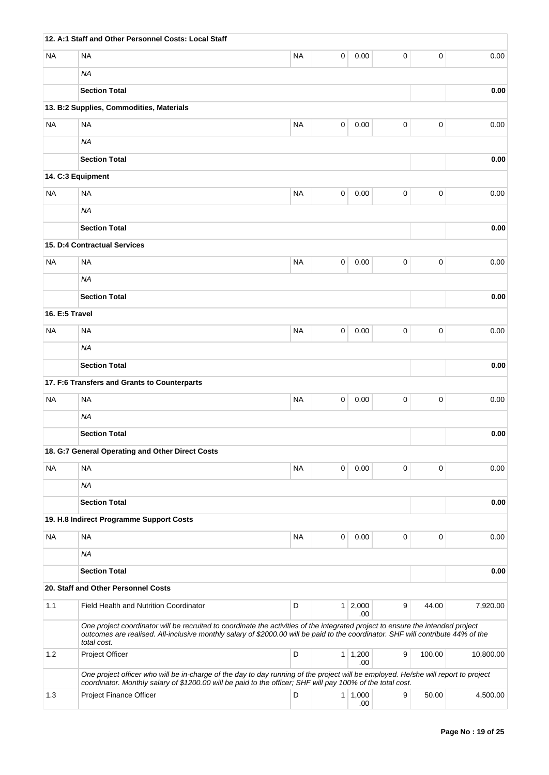|                | 12. A:1 Staff and Other Personnel Costs: Local Staff                                                                                                                                                                                                                               |           |   |                       |   |             |           |
|----------------|------------------------------------------------------------------------------------------------------------------------------------------------------------------------------------------------------------------------------------------------------------------------------------|-----------|---|-----------------------|---|-------------|-----------|
| NA             | <b>NA</b>                                                                                                                                                                                                                                                                          | NA        | 0 | 0.00                  | 0 | 0           | 0.00      |
|                | <b>NA</b>                                                                                                                                                                                                                                                                          |           |   |                       |   |             |           |
|                | <b>Section Total</b>                                                                                                                                                                                                                                                               |           |   |                       |   |             | 0.00      |
|                | 13. B:2 Supplies, Commodities, Materials                                                                                                                                                                                                                                           |           |   |                       |   |             |           |
| <b>NA</b>      | <b>NA</b>                                                                                                                                                                                                                                                                          | <b>NA</b> | 0 | 0.00                  | 0 | 0           | 0.00      |
|                | <b>NA</b>                                                                                                                                                                                                                                                                          |           |   |                       |   |             |           |
|                | <b>Section Total</b>                                                                                                                                                                                                                                                               |           |   |                       |   |             | 0.00      |
|                | 14. C:3 Equipment                                                                                                                                                                                                                                                                  |           |   |                       |   |             |           |
| NA             | <b>NA</b>                                                                                                                                                                                                                                                                          | <b>NA</b> | 0 | 0.00                  | 0 | 0           | 0.00      |
|                | <b>NA</b>                                                                                                                                                                                                                                                                          |           |   |                       |   |             |           |
|                | <b>Section Total</b>                                                                                                                                                                                                                                                               |           |   |                       |   |             | 0.00      |
|                | 15. D:4 Contractual Services                                                                                                                                                                                                                                                       |           |   |                       |   |             |           |
| NA             | <b>NA</b>                                                                                                                                                                                                                                                                          | <b>NA</b> | 0 | 0.00                  | 0 | $\mathbf 0$ | 0.00      |
|                | <b>NA</b>                                                                                                                                                                                                                                                                          |           |   |                       |   |             |           |
|                | <b>Section Total</b>                                                                                                                                                                                                                                                               |           |   |                       |   |             | 0.00      |
| 16. E:5 Travel |                                                                                                                                                                                                                                                                                    |           |   |                       |   |             |           |
| <b>NA</b>      | <b>NA</b>                                                                                                                                                                                                                                                                          | <b>NA</b> | 0 | 0.00                  | 0 | 0           | 0.00      |
|                | <b>NA</b>                                                                                                                                                                                                                                                                          |           |   |                       |   |             |           |
|                | <b>Section Total</b>                                                                                                                                                                                                                                                               |           |   |                       |   |             | 0.00      |
|                | 17. F:6 Transfers and Grants to Counterparts                                                                                                                                                                                                                                       |           |   |                       |   |             |           |
| <b>NA</b>      | <b>NA</b>                                                                                                                                                                                                                                                                          | <b>NA</b> | 0 | 0.00                  | 0 | 0           | 0.00      |
|                | <b>NA</b>                                                                                                                                                                                                                                                                          |           |   |                       |   |             |           |
|                | <b>Section Total</b>                                                                                                                                                                                                                                                               |           |   |                       |   |             | 0.00      |
|                | 18. G:7 General Operating and Other Direct Costs                                                                                                                                                                                                                                   |           |   |                       |   |             |           |
| NA             | <b>NA</b>                                                                                                                                                                                                                                                                          | NA        | 0 | 0.00                  | 0 | 0           | 0.00      |
|                | <b>NA</b>                                                                                                                                                                                                                                                                          |           |   |                       |   |             |           |
|                | <b>Section Total</b>                                                                                                                                                                                                                                                               |           |   |                       |   |             | 0.00      |
|                | 19. H.8 Indirect Programme Support Costs                                                                                                                                                                                                                                           |           |   |                       |   |             |           |
| NA             | <b>NA</b>                                                                                                                                                                                                                                                                          | NA        | 0 | 0.00                  | 0 | 0           | 0.00      |
|                | <b>NA</b>                                                                                                                                                                                                                                                                          |           |   |                       |   |             |           |
|                | <b>Section Total</b>                                                                                                                                                                                                                                                               |           |   |                       |   |             | 0.00      |
|                | 20. Staff and Other Personnel Costs                                                                                                                                                                                                                                                |           |   |                       |   |             |           |
| 1.1            | Field Health and Nutrition Coordinator                                                                                                                                                                                                                                             | D         |   | $1 \mid 2,000$        | 9 | 44.00       | 7,920.00  |
|                | One project coordinator will be recruited to coordinate the activities of the integrated project to ensure the intended project<br>outcomes are realised. All-inclusive monthly salary of \$2000.00 will be paid to the coordinator. SHF will contribute 44% of the<br>total cost. |           |   | .00                   |   |             |           |
| 1.2            | Project Officer                                                                                                                                                                                                                                                                    | D         |   | $1 \mid 1,200$<br>.00 | 9 | 100.00      | 10,800.00 |
|                | One project officer who will be in-charge of the day to day running of the project will be employed. He/she will report to project                                                                                                                                                 |           |   |                       |   |             |           |
| 1.3            | coordinator. Monthly salary of \$1200.00 will be paid to the officer; SHF will pay 100% of the total cost.<br>Project Finance Officer                                                                                                                                              | D         |   | $1 \mid 1,000$        | 9 | 50.00       | 4,500.00  |
|                |                                                                                                                                                                                                                                                                                    |           |   | .00                   |   |             |           |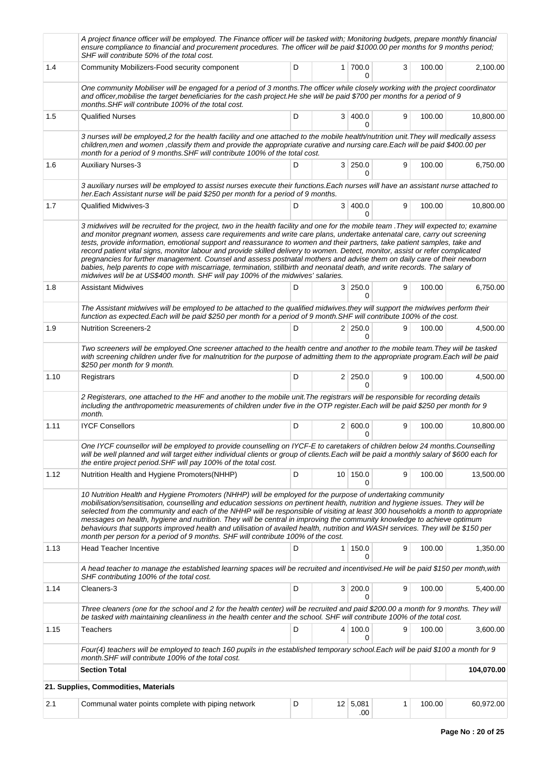|      | A project finance officer will be employed. The Finance officer will be tasked with; Monitoring budgets, prepare monthly financial<br>ensure compliance to financial and procurement procedures. The officer will be paid \$1000.00 per months for 9 months period;<br>SHF will contribute 50% of the total cost.                                                                                                                                                                                                                                                                                                                                                                                                                                                                                                                                                             |   |                |                                |   |        |            |
|------|-------------------------------------------------------------------------------------------------------------------------------------------------------------------------------------------------------------------------------------------------------------------------------------------------------------------------------------------------------------------------------------------------------------------------------------------------------------------------------------------------------------------------------------------------------------------------------------------------------------------------------------------------------------------------------------------------------------------------------------------------------------------------------------------------------------------------------------------------------------------------------|---|----------------|--------------------------------|---|--------|------------|
| 1.4  | Community Mobilizers-Food security component                                                                                                                                                                                                                                                                                                                                                                                                                                                                                                                                                                                                                                                                                                                                                                                                                                  | D |                | 1 700.0<br>$\Omega$            | 3 | 100.00 | 2,100.00   |
|      | One community Mobiliser will be engaged for a period of 3 months. The officer while closely working with the project coordinator<br>and officer, mobilise the target beneficiaries for the cash project. He she will be paid \$700 per months for a period of 9<br>months. SHF will contribute 100% of the total cost.                                                                                                                                                                                                                                                                                                                                                                                                                                                                                                                                                        |   |                |                                |   |        |            |
| 1.5  | <b>Qualified Nurses</b>                                                                                                                                                                                                                                                                                                                                                                                                                                                                                                                                                                                                                                                                                                                                                                                                                                                       | D |                | 3 400.0<br>0                   | 9 | 100.00 | 10,800.00  |
|      | 3 nurses will be employed,2 for the health facility and one attached to the mobile health/nutrition unit. They will medically assess<br>children, men and women, classify them and provide the appropriate curative and nursing care. Each will be paid \$400.00 per<br>month for a period of 9 months. SHF will contribute 100% of the total cost.                                                                                                                                                                                                                                                                                                                                                                                                                                                                                                                           |   |                |                                |   |        |            |
| 1.6  | <b>Auxiliary Nurses-3</b>                                                                                                                                                                                                                                                                                                                                                                                                                                                                                                                                                                                                                                                                                                                                                                                                                                                     | D |                | 3 250.0<br>0                   | 9 | 100.00 | 6,750.00   |
|      | 3 auxiliary nurses will be employed to assist nurses execute their functions. Each nurses will have an assistant nurse attached to<br>her. Each Assistant nurse will be paid \$250 per month for a period of 9 months.                                                                                                                                                                                                                                                                                                                                                                                                                                                                                                                                                                                                                                                        |   |                |                                |   |        |            |
| 1.7  | Qualified Midwives-3                                                                                                                                                                                                                                                                                                                                                                                                                                                                                                                                                                                                                                                                                                                                                                                                                                                          | D | 3              | 400.0<br>0                     | 9 | 100.00 | 10,800.00  |
|      | 3 midwives will be recruited for the project, two in the health facility and one for the mobile team . They will expected to; examine<br>and monitor pregnant women, assess care requirements and write care plans, undertake antenatal care, carry out screening<br>tests, provide information, emotional support and reassurance to women and their partners, take patient samples, take and<br>record patient vital signs, monitor labour and provide skilled delivery to women. Detect, monitor, assist or refer complicated<br>pregnancies for further management. Counsel and assess postnatal mothers and advise them on daily care of their newborn<br>babies, help parents to cope with miscarriage, termination, stillbirth and neonatal death, and write records. The salary of<br>midwives will be at US\$400 month. SHF will pay 100% of the midwives' salaries. |   |                |                                |   |        |            |
| 1.8  | <b>Assistant Midwives</b>                                                                                                                                                                                                                                                                                                                                                                                                                                                                                                                                                                                                                                                                                                                                                                                                                                                     | D |                | 3 250.0<br>$\Omega$            | 9 | 100.00 | 6,750.00   |
|      | The Assistant midwives will be employed to be attached to the qualified midwives.they will support the midwives perform their<br>function as expected. Each will be paid \$250 per month for a period of 9 month. SHF will contribute 100% of the cost.                                                                                                                                                                                                                                                                                                                                                                                                                                                                                                                                                                                                                       |   |                |                                |   |        |            |
| 1.9  | <b>Nutrition Screeners-2</b>                                                                                                                                                                                                                                                                                                                                                                                                                                                                                                                                                                                                                                                                                                                                                                                                                                                  | D |                | $2 \mid 250.0$<br>0            | 9 | 100.00 | 4,500.00   |
|      | Two screeners will be employed. One screener attached to the health centre and another to the mobile team. They will be tasked<br>with screening children under five for malnutrition for the purpose of admitting them to the appropriate program.Each will be paid<br>\$250 per month for 9 month.                                                                                                                                                                                                                                                                                                                                                                                                                                                                                                                                                                          |   |                |                                |   |        |            |
| 1.10 | Registrars                                                                                                                                                                                                                                                                                                                                                                                                                                                                                                                                                                                                                                                                                                                                                                                                                                                                    | D |                | $2 \mid 250.0$<br><sup>n</sup> | 9 | 100.00 | 4,500.00   |
|      | 2 Registerars, one attached to the HF and another to the mobile unit. The registrars will be responsible for recording details<br>including the anthropometric measurements of children under five in the OTP register. Each will be paid \$250 per month for 9<br>month.                                                                                                                                                                                                                                                                                                                                                                                                                                                                                                                                                                                                     |   |                |                                |   |        |            |
| 1.11 | <b>IYCF Consellors</b>                                                                                                                                                                                                                                                                                                                                                                                                                                                                                                                                                                                                                                                                                                                                                                                                                                                        | D |                | 2   600.0<br>0                 | 9 | 100.00 | 10,800.00  |
|      | One IYCF counsellor will be employed to provide counselling on IYCF-E to caretakers of children below 24 months.Counselling<br>will be well planned and will target either individual clients or group of clients.Each will be paid a monthly salary of \$600 each for<br>the entire project period. SHF will pay 100% of the total cost.                                                                                                                                                                                                                                                                                                                                                                                                                                                                                                                                     |   |                |                                |   |        |            |
| 1.12 | Nutrition Health and Hygiene Promoters (NHHP)                                                                                                                                                                                                                                                                                                                                                                                                                                                                                                                                                                                                                                                                                                                                                                                                                                 | D |                | 10 150.0<br>0                  | 9 | 100.00 | 13,500.00  |
|      | 10 Nutrition Health and Hygiene Promoters (NHHP) will be employed for the purpose of undertaking community<br>mobilisation/sensitisation, counselling and education sessions on pertinent health, nutrition and hygiene issues. They will be<br>selected from the community and each of the NHHP will be responsible of visiting at least 300 households a month to appropriate<br>messages on health, hygiene and nutrition. They will be central in improving the community knowledge to achieve optimum<br>behaviours that supports improved health and utilisation of availed health, nutrition and WASH services. They will be \$150 per<br>month per person for a period of 9 months. SHF will contribute 100% of the cost.                                                                                                                                             |   |                |                                |   |        |            |
| 1.13 | <b>Head Teacher Incentive</b>                                                                                                                                                                                                                                                                                                                                                                                                                                                                                                                                                                                                                                                                                                                                                                                                                                                 | D | 1 <sup>1</sup> | 150.0<br>0                     | 9 | 100.00 | 1,350.00   |
|      | A head teacher to manage the established learning spaces will be recruited and incentivised. He will be paid \$150 per month, with<br>SHF contributing 100% of the total cost.                                                                                                                                                                                                                                                                                                                                                                                                                                                                                                                                                                                                                                                                                                |   |                |                                |   |        |            |
| 1.14 | Cleaners-3                                                                                                                                                                                                                                                                                                                                                                                                                                                                                                                                                                                                                                                                                                                                                                                                                                                                    | D |                | 3 200.0                        | 9 | 100.00 | 5,400.00   |
|      | Three cleaners (one for the school and 2 for the health center) will be recruited and paid \$200.00 a month for 9 months. They will<br>be tasked with maintaining cleanliness in the health center and the school. SHF will contribute 100% of the total cost.                                                                                                                                                                                                                                                                                                                                                                                                                                                                                                                                                                                                                |   |                |                                |   |        |            |
| 1.15 | <b>Teachers</b>                                                                                                                                                                                                                                                                                                                                                                                                                                                                                                                                                                                                                                                                                                                                                                                                                                                               | D |                | 4 100.0<br>0                   | 9 | 100.00 | 3,600.00   |
|      | Four(4) teachers will be employed to teach 160 pupils in the established temporary school.Each will be paid \$100 a month for 9<br>month. SHF will contribute 100% of the total cost.                                                                                                                                                                                                                                                                                                                                                                                                                                                                                                                                                                                                                                                                                         |   |                |                                |   |        |            |
|      | <b>Section Total</b>                                                                                                                                                                                                                                                                                                                                                                                                                                                                                                                                                                                                                                                                                                                                                                                                                                                          |   |                |                                |   |        | 104,070.00 |
|      | 21. Supplies, Commodities, Materials                                                                                                                                                                                                                                                                                                                                                                                                                                                                                                                                                                                                                                                                                                                                                                                                                                          |   |                |                                |   |        |            |
| 2.1  | Communal water points complete with piping network                                                                                                                                                                                                                                                                                                                                                                                                                                                                                                                                                                                                                                                                                                                                                                                                                            | D |                | $12 \mid 5,081$<br>.00         | 1 | 100.00 | 60,972.00  |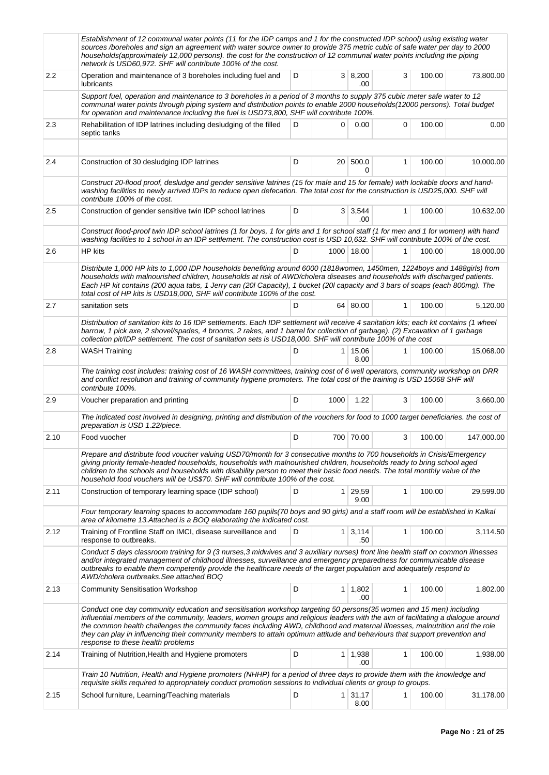|      | Establishment of 12 communal water points (11 for the IDP camps and 1 for the constructed IDP school) using existing water<br>sources /boreholes and sign an agreement with water source owner to provide 375 metric cubic of safe water per day to 2000<br>households(approximately 12,000 persons). the cost for the construction of 12 communal water points including the piping<br>network is USD60,972. SHF will contribute 100% of the cost.                                                                                                      |   |                 |                        |              |        |            |
|------|----------------------------------------------------------------------------------------------------------------------------------------------------------------------------------------------------------------------------------------------------------------------------------------------------------------------------------------------------------------------------------------------------------------------------------------------------------------------------------------------------------------------------------------------------------|---|-----------------|------------------------|--------------|--------|------------|
| 2.2  | Operation and maintenance of 3 boreholes including fuel and<br>lubricants                                                                                                                                                                                                                                                                                                                                                                                                                                                                                | D |                 | 3   8,200<br>.00       | 3            | 100.00 | 73,800.00  |
|      | Support fuel, operation and maintenance to 3 boreholes in a period of 3 months to supply 375 cubic meter safe water to 12<br>communal water points through piping system and distribution points to enable 2000 households(12000 persons). Total budget<br>for operation and maintenance including the fuel is USD73,800, SHF will contribute 100%.                                                                                                                                                                                                      |   |                 |                        |              |        |            |
| 2.3  | Rehabilitation of IDP latrines including desludging of the filled<br>septic tanks                                                                                                                                                                                                                                                                                                                                                                                                                                                                        | D | 0               | 0.00                   | 0            | 100.00 | 0.00       |
|      |                                                                                                                                                                                                                                                                                                                                                                                                                                                                                                                                                          |   |                 |                        |              |        |            |
| 2.4  | Construction of 30 desludging IDP latrines                                                                                                                                                                                                                                                                                                                                                                                                                                                                                                               | D | 20 <sup>1</sup> | 500.0<br>0             | 1            | 100.00 | 10,000.00  |
|      | Construct 20-flood proof, desludge and gender sensitive latrines (15 for male and 15 for female) with lockable doors and hand-<br>washing facilities to newly arrived IDPs to reduce open defecation. The total cost for the construction is USD25,000. SHF will<br>contribute 100% of the cost.                                                                                                                                                                                                                                                         |   |                 |                        |              |        |            |
| 2.5  | Construction of gender sensitive twin IDP school latrines                                                                                                                                                                                                                                                                                                                                                                                                                                                                                                | D |                 | $3 \mid 3.544$<br>.00  | 1            | 100.00 | 10,632.00  |
|      | Construct flood-proof twin IDP school latrines (1 for boys, 1 for girls and 1 for school staff (1 for men and 1 for women) with hand<br>washing facilities to 1 school in an IDP settlement. The construction cost is USD 10,632. SHF will contribute 100% of the cost.                                                                                                                                                                                                                                                                                  |   |                 |                        |              |        |            |
| 2.6  | HP kits                                                                                                                                                                                                                                                                                                                                                                                                                                                                                                                                                  | D |                 | 1000 18.00             | 1            | 100.00 | 18,000.00  |
|      | Distribute 1,000 HP kits to 1,000 IDP households benefiting around 6000 (1818women, 1450men, 1224boys and 1488girls) from<br>households with malnourished children, households at risk of AWD/cholera diseases and households with discharged patients.<br>Each HP kit contains (200 aqua tabs, 1 Jerry can (20l Capacity), 1 bucket (20l capacity and 3 bars of soaps (each 800mg). The<br>total cost of HP kits is USD18,000, SHF will contribute 100% of the cost.                                                                                    |   |                 |                        |              |        |            |
| 2.7  | sanitation sets                                                                                                                                                                                                                                                                                                                                                                                                                                                                                                                                          | D |                 | 64 80.00               | 1            | 100.00 | 5,120.00   |
|      | Distribution of sanitation kits to 16 IDP settlements. Each IDP settlement will receive 4 sanitation kits; each kit contains (1 wheel<br>barrow, 1 pick axe, 2 shovel/spades, 4 brooms, 2 rakes, and 1 barrel for collection of garbage). (2) Excavation of 1 garbage<br>collection pit/IDP settlement. The cost of sanitation sets is USD18,000. SHF will contribute 100% of the cost                                                                                                                                                                   |   |                 |                        |              |        |            |
| 2.8  | <b>WASH Training</b>                                                                                                                                                                                                                                                                                                                                                                                                                                                                                                                                     | D |                 | $1 \mid 15,06$<br>8.00 | $\mathbf{1}$ | 100.00 | 15,068.00  |
|      | The training cost includes: training cost of 16 WASH committees, training cost of 6 well operators, community workshop on DRR<br>and conflict resolution and training of community hygiene promoters. The total cost of the training is USD 15068 SHF will<br>contribute 100%.                                                                                                                                                                                                                                                                           |   |                 |                        |              |        |            |
| 2.9  | Voucher preparation and printing                                                                                                                                                                                                                                                                                                                                                                                                                                                                                                                         | D | 1000            | 1.22                   | 3            | 100.00 | 3,660.00   |
|      | The indicated cost involved in designing, printing and distribution of the vouchers for food to 1000 target beneficiaries. the cost of<br>preparation is USD 1.22/piece.                                                                                                                                                                                                                                                                                                                                                                                 |   |                 |                        |              |        |            |
| 2.10 | Food vuocher                                                                                                                                                                                                                                                                                                                                                                                                                                                                                                                                             | D |                 | 700 70.00              | 3            | 100.00 | 147,000.00 |
|      | Prepare and distribute food voucher valuing USD70/month for 3 consecutive months to 700 households in Crisis/Emergency<br>giving priority female-headed households, households with malnourished children, households ready to bring school aged<br>children to the schools and households with disability person to meet their basic food needs. The total monthly value of the<br>household food vouchers will be US\$70. SHF will contribute 100% of the cost.                                                                                        |   |                 |                        |              |        |            |
| 2.11 | Construction of temporary learning space (IDP school)                                                                                                                                                                                                                                                                                                                                                                                                                                                                                                    | D |                 | 1 29,59<br>9.00        | 1            | 100.00 | 29,599.00  |
|      | Four temporary learning spaces to accommodate 160 pupils (70 boys and 90 girls) and a staff room will be established in Kalkal<br>area of kilometre 13. Attached is a BOQ elaborating the indicated cost.                                                                                                                                                                                                                                                                                                                                                |   |                 |                        |              |        |            |
| 2.12 | Training of Frontline Staff on IMCI, disease surveillance and<br>response to outbreaks.                                                                                                                                                                                                                                                                                                                                                                                                                                                                  | D |                 | $1 \mid 3,114$<br>.50  | 1            | 100.00 | 3,114.50   |
|      | Conduct 5 days classroom training for 9 (3 nurses, 3 midwives and 3 auxiliary nurses) front line health staff on common illnesses<br>and/or integrated management of childhood illnesses, surveillance and emergency preparedness for communicable disease<br>outbreaks to enable them competently provide the healthcare needs of the target population and adequately respond to<br>AWD/cholera outbreaks. See attached BOQ                                                                                                                            |   |                 |                        |              |        |            |
| 2.13 | <b>Community Sensitisation Workshop</b>                                                                                                                                                                                                                                                                                                                                                                                                                                                                                                                  | D |                 | $1 \mid 1,802$<br>.00  | 1            | 100.00 | 1,802.00   |
|      | Conduct one day community education and sensitisation workshop targeting 50 persons(35 women and 15 men) including<br>influential members of the community, leaders, women groups and religious leaders with the aim of facilitating a dialogue around<br>the common health challenges the community faces including AWD, childhood and maternal illnesses, malnutrition and the role<br>they can play in influencing their community members to attain optimum attitude and behaviours that support prevention and<br>response to these health problems |   |                 |                        |              |        |            |
| 2.14 | Training of Nutrition, Health and Hygiene promoters                                                                                                                                                                                                                                                                                                                                                                                                                                                                                                      | D |                 | $1 \mid 1,938$<br>.00  | 1            | 100.00 | 1,938.00   |
|      | Train 10 Nutrition, Health and Hygiene promoters (NHHP) for a period of three days to provide them with the knowledge and<br>requisite skills required to appropriately conduct promotion sessions to individual clients or group to groups.                                                                                                                                                                                                                                                                                                             |   |                 |                        |              |        |            |
| 2.15 | School furniture, Learning/Teaching materials                                                                                                                                                                                                                                                                                                                                                                                                                                                                                                            | D |                 | $1 \mid 31,17$<br>8.00 | 1            | 100.00 | 31,178.00  |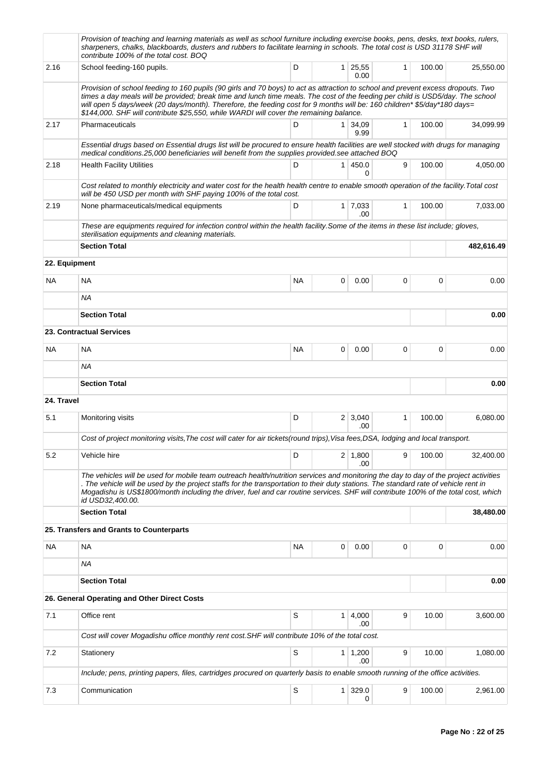|               | Provision of teaching and learning materials as well as school furniture including exercise books, pens, desks, text books, rulers,<br>sharpeners, chalks, blackboards, dusters and rubbers to facilitate learning in schools. The total cost is USD 31178 SHF will<br>contribute 100% of the total cost. BOQ                                                                                                                                                                            |           |   |                             |              |        |            |
|---------------|------------------------------------------------------------------------------------------------------------------------------------------------------------------------------------------------------------------------------------------------------------------------------------------------------------------------------------------------------------------------------------------------------------------------------------------------------------------------------------------|-----------|---|-----------------------------|--------------|--------|------------|
| 2.16          | School feeding-160 pupils.                                                                                                                                                                                                                                                                                                                                                                                                                                                               | D         |   | $1 \ 25,55$<br>0.00         | $\mathbf{1}$ | 100.00 | 25,550.00  |
|               | Provision of school feeding to 160 pupils (90 girls and 70 boys) to act as attraction to school and prevent excess dropouts. Two<br>times a day meals will be provided; break time and lunch time meals. The cost of the feeding per child is USD5/day. The school<br>will open 5 days/week (20 days/month). Therefore, the feeding cost for 9 months will be: 160 children* \$5/day*180 days=<br>\$144,000. SHF will contribute \$25,550, while WARDI will cover the remaining balance. |           |   |                             |              |        |            |
| 2.17          | Pharmaceuticals                                                                                                                                                                                                                                                                                                                                                                                                                                                                          | D         |   | 1 34,09<br>9.99             | 1            | 100.00 | 34,099.99  |
|               | Essential drugs based on Essential drugs list will be procured to ensure health facilities are well stocked with drugs for managing<br>medical conditions.25,000 beneficiaries will benefit from the supplies provided.see attached BOQ                                                                                                                                                                                                                                                  |           |   |                             |              |        |            |
| 2.18          | <b>Health Facility Utilities</b>                                                                                                                                                                                                                                                                                                                                                                                                                                                         | D         |   | 1   450.0<br>0              | 9            | 100.00 | 4,050.00   |
|               | Cost related to monthly electricity and water cost for the health health centre to enable smooth operation of the facility. Total cost<br>will be 450 USD per month with SHF paying 100% of the total cost.                                                                                                                                                                                                                                                                              |           |   |                             |              |        |            |
| 2.19          | None pharmaceuticals/medical equipments                                                                                                                                                                                                                                                                                                                                                                                                                                                  | D         |   | $1 \overline{7,033}$<br>.00 | $\mathbf{1}$ | 100.00 | 7,033.00   |
|               | These are equipments required for infection control within the health facility. Some of the items in these list include; gloves,<br>sterilisation equipments and cleaning materials.                                                                                                                                                                                                                                                                                                     |           |   |                             |              |        |            |
|               | <b>Section Total</b>                                                                                                                                                                                                                                                                                                                                                                                                                                                                     |           |   |                             |              |        | 482,616.49 |
| 22. Equipment |                                                                                                                                                                                                                                                                                                                                                                                                                                                                                          |           |   |                             |              |        |            |
| <b>NA</b>     | <b>NA</b>                                                                                                                                                                                                                                                                                                                                                                                                                                                                                | <b>NA</b> | 0 | 0.00                        | 0            | 0      | 0.00       |
|               | <b>NA</b>                                                                                                                                                                                                                                                                                                                                                                                                                                                                                |           |   |                             |              |        |            |
|               | <b>Section Total</b>                                                                                                                                                                                                                                                                                                                                                                                                                                                                     |           |   |                             |              |        | 0.00       |
|               | 23. Contractual Services                                                                                                                                                                                                                                                                                                                                                                                                                                                                 |           |   |                             |              |        |            |
| NA.           | <b>NA</b>                                                                                                                                                                                                                                                                                                                                                                                                                                                                                | <b>NA</b> | 0 | 0.00                        | 0            | 0      | 0.00       |
|               | <b>NA</b>                                                                                                                                                                                                                                                                                                                                                                                                                                                                                |           |   |                             |              |        |            |
|               | <b>Section Total</b>                                                                                                                                                                                                                                                                                                                                                                                                                                                                     |           |   |                             |              |        | 0.00       |
| 24. Travel    |                                                                                                                                                                                                                                                                                                                                                                                                                                                                                          |           |   |                             |              |        |            |
| 5.1           | Monitoring visits                                                                                                                                                                                                                                                                                                                                                                                                                                                                        | D         |   | 2 3,040<br>.00              | $\mathbf{1}$ | 100.00 | 6,080.00   |
|               | Cost of project monitoring visits, The cost will cater for air tickets(round trips), Visa fees, DSA, lodging and local transport.                                                                                                                                                                                                                                                                                                                                                        |           |   |                             |              |        |            |
| 5.2           | Vehicle hire                                                                                                                                                                                                                                                                                                                                                                                                                                                                             | D         |   | $2 \mid 1,800$<br>.00       | 9            | 100.00 | 32,400.00  |
|               | The vehicles will be used for mobile team outreach health/nutrition services and monitoring the day to day of the project activities<br>. The vehicle will be used by the project staffs for the transportation to their duty stations. The standard rate of vehicle rent in<br>Mogadishu is US\$1800/month including the driver, fuel and car routine services. SHF will contribute 100% of the total cost, which<br>id USD32,400.00.                                                   |           |   |                             |              |        |            |
|               | <b>Section Total</b>                                                                                                                                                                                                                                                                                                                                                                                                                                                                     |           |   |                             |              |        | 38,480.00  |
|               | 25. Transfers and Grants to Counterparts                                                                                                                                                                                                                                                                                                                                                                                                                                                 |           |   |                             |              |        |            |
| NA            | <b>NA</b>                                                                                                                                                                                                                                                                                                                                                                                                                                                                                | NA        | 0 | 0.00                        | 0            | 0      | 0.00       |
|               | ΝA                                                                                                                                                                                                                                                                                                                                                                                                                                                                                       |           |   |                             |              |        |            |
|               | <b>Section Total</b>                                                                                                                                                                                                                                                                                                                                                                                                                                                                     |           |   |                             |              |        | 0.00       |
|               | 26. General Operating and Other Direct Costs                                                                                                                                                                                                                                                                                                                                                                                                                                             |           |   |                             |              |        |            |
| 7.1           | Office rent                                                                                                                                                                                                                                                                                                                                                                                                                                                                              | S         |   | 1   4,000<br>.00            | 9            | 10.00  | 3,600.00   |
|               | Cost will cover Mogadishu office monthly rent cost. SHF will contribute 10% of the total cost.                                                                                                                                                                                                                                                                                                                                                                                           |           |   |                             |              |        |            |
| 7.2           | Stationery                                                                                                                                                                                                                                                                                                                                                                                                                                                                               | S         |   | $1 \mid 1,200$<br>.00       | 9            | 10.00  | 1,080.00   |
|               | Include; pens, printing papers, files, cartridges procured on quarterly basis to enable smooth running of the office activities.                                                                                                                                                                                                                                                                                                                                                         |           |   |                             |              |        |            |
| 7.3           | Communication                                                                                                                                                                                                                                                                                                                                                                                                                                                                            | S         |   | $1 \mid 329.0$<br>0         | 9            | 100.00 | 2,961.00   |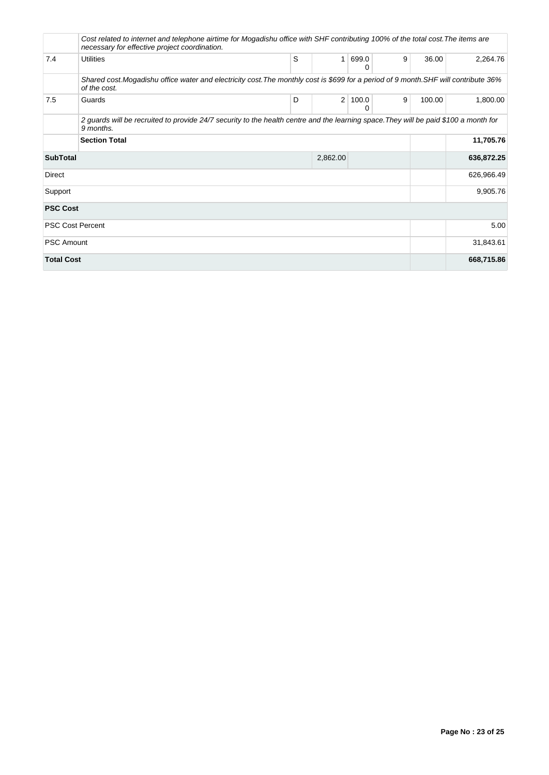|                         | Cost related to internet and telephone airtime for Mogadishu office with SHF contributing 100% of the total cost. The items are<br>necessary for effective project coordination. |   |                |            |   |        |            |
|-------------------------|----------------------------------------------------------------------------------------------------------------------------------------------------------------------------------|---|----------------|------------|---|--------|------------|
| 7.4                     | Utilities                                                                                                                                                                        | S | $\mathbf{1}$   | 699.0<br>0 | 9 | 36.00  | 2,264.76   |
|                         | Shared cost. Mogadishu office water and electricity cost. The monthly cost is \$699 for a period of 9 month. SHF will contribute 36%<br>of the cost.                             |   |                |            |   |        |            |
| 7.5                     | Guards                                                                                                                                                                           | D | $\overline{2}$ | 100.0<br>0 | 9 | 100.00 | 1,800.00   |
|                         | 2 guards will be recruited to provide 24/7 security to the health centre and the learning space. They will be paid \$100 a month for<br>9 months.                                |   |                |            |   |        |            |
|                         | <b>Section Total</b>                                                                                                                                                             |   |                |            |   |        | 11,705.76  |
| <b>SubTotal</b>         |                                                                                                                                                                                  |   | 2,862.00       |            |   |        | 636,872.25 |
| <b>Direct</b>           |                                                                                                                                                                                  |   |                |            |   |        | 626,966.49 |
| Support                 |                                                                                                                                                                                  |   |                |            |   |        | 9,905.76   |
| <b>PSC Cost</b>         |                                                                                                                                                                                  |   |                |            |   |        |            |
| <b>PSC Cost Percent</b> |                                                                                                                                                                                  |   |                |            |   |        | 5.00       |
| <b>PSC Amount</b>       |                                                                                                                                                                                  |   |                |            |   |        | 31,843.61  |
| <b>Total Cost</b>       |                                                                                                                                                                                  |   |                |            |   |        | 668,715.86 |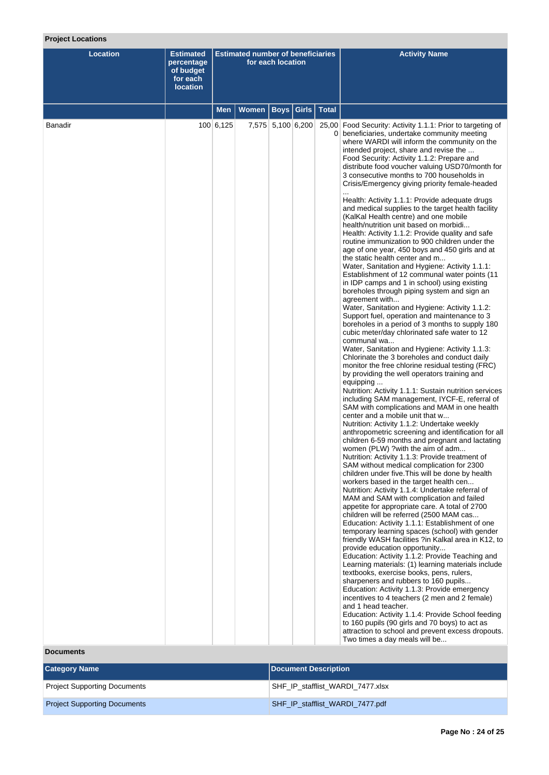# **Project Locations**

| <b>Location</b> | <b>Estimated</b><br>percentage<br>of budget<br>for each<br><b>location</b> | <b>Estimated number of beneficiaries</b><br>for each location |                              |                   |  |  | <b>Activity Name</b>                                                                                                                                                                                                                                                                                                                                                                                                                                                                                                                                                                                                                                                                                                                                                                                                                                                                                                                                                                                                                                                                                                                                                                                                                                                                                                                                                                                                                                                                                                                                                                                                                                                                                                                                                                                                                                                                                                                                                                                                                                                                                                                                                                                                                                                                                                                                                                                                                                                                                                                                                                                                                                                                                                                                                                                                                                                                                                                                     |
|-----------------|----------------------------------------------------------------------------|---------------------------------------------------------------|------------------------------|-------------------|--|--|----------------------------------------------------------------------------------------------------------------------------------------------------------------------------------------------------------------------------------------------------------------------------------------------------------------------------------------------------------------------------------------------------------------------------------------------------------------------------------------------------------------------------------------------------------------------------------------------------------------------------------------------------------------------------------------------------------------------------------------------------------------------------------------------------------------------------------------------------------------------------------------------------------------------------------------------------------------------------------------------------------------------------------------------------------------------------------------------------------------------------------------------------------------------------------------------------------------------------------------------------------------------------------------------------------------------------------------------------------------------------------------------------------------------------------------------------------------------------------------------------------------------------------------------------------------------------------------------------------------------------------------------------------------------------------------------------------------------------------------------------------------------------------------------------------------------------------------------------------------------------------------------------------------------------------------------------------------------------------------------------------------------------------------------------------------------------------------------------------------------------------------------------------------------------------------------------------------------------------------------------------------------------------------------------------------------------------------------------------------------------------------------------------------------------------------------------------------------------------------------------------------------------------------------------------------------------------------------------------------------------------------------------------------------------------------------------------------------------------------------------------------------------------------------------------------------------------------------------------------------------------------------------------------------------------------------------------|
|                 |                                                                            | <b>Men</b>                                                    | Women   Boys   Girls   Total |                   |  |  |                                                                                                                                                                                                                                                                                                                                                                                                                                                                                                                                                                                                                                                                                                                                                                                                                                                                                                                                                                                                                                                                                                                                                                                                                                                                                                                                                                                                                                                                                                                                                                                                                                                                                                                                                                                                                                                                                                                                                                                                                                                                                                                                                                                                                                                                                                                                                                                                                                                                                                                                                                                                                                                                                                                                                                                                                                                                                                                                                          |
| <b>Banadir</b>  |                                                                            | 100 6,125                                                     |                              | 7,575 5,100 6,200 |  |  | 25,00 Food Security: Activity 1.1.1: Prior to targeting of<br>0 beneficiaries, undertake community meeting<br>where WARDI will inform the community on the<br>intended project, share and revise the<br>Food Security: Activity 1.1.2: Prepare and<br>distribute food voucher valuing USD70/month for<br>3 consecutive months to 700 households in<br>Crisis/Emergency giving priority female-headed<br>Health: Activity 1.1.1: Provide adequate drugs<br>and medical supplies to the target health facility<br>(KalKal Health centre) and one mobile<br>health/nutrition unit based on morbidi<br>Health: Activity 1.1.2: Provide quality and safe<br>routine immunization to 900 children under the<br>age of one year, 450 boys and 450 girls and at<br>the static health center and m<br>Water, Sanitation and Hygiene: Activity 1.1.1:<br>Establishment of 12 communal water points (11<br>in IDP camps and 1 in school) using existing<br>boreholes through piping system and sign an<br>agreement with<br>Water, Sanitation and Hygiene: Activity 1.1.2:<br>Support fuel, operation and maintenance to 3<br>boreholes in a period of 3 months to supply 180<br>cubic meter/day chlorinated safe water to 12<br>communal wa<br>Water, Sanitation and Hygiene: Activity 1.1.3:<br>Chlorinate the 3 boreholes and conduct daily<br>monitor the free chlorine residual testing (FRC)<br>by providing the well operators training and<br>equipping<br>Nutrition: Activity 1.1.1: Sustain nutrition services<br>including SAM management, IYCF-E, referral of<br>SAM with complications and MAM in one health<br>center and a mobile unit that w<br>Nutrition: Activity 1.1.2: Undertake weekly<br>anthropometric screening and identification for all<br>children 6-59 months and pregnant and lactating<br>women (PLW) ?with the aim of adm<br>Nutrition: Activity 1.1.3: Provide treatment of<br>SAM without medical complication for 2300<br>children under five. This will be done by health<br>workers based in the target health cen<br>Nutrition: Activity 1.1.4: Undertake referral of<br>MAM and SAM with complication and failed<br>appetite for appropriate care. A total of 2700<br>children will be referred (2500 MAM cas<br>Education: Activity 1.1.1: Establishment of one<br>temporary learning spaces (school) with gender<br>friendly WASH facilities ?in Kalkal area in K12, to<br>provide education opportunity<br>Education: Activity 1.1.2: Provide Teaching and<br>Learning materials: (1) learning materials include<br>textbooks, exercise books, pens, rulers,<br>sharpeners and rubbers to 160 pupils<br>Education: Activity 1.1.3: Provide emergency<br>incentives to 4 teachers (2 men and 2 female)<br>and 1 head teacher.<br>Education: Activity 1.1.4: Provide School feeding<br>to 160 pupils (90 girls and 70 boys) to act as<br>attraction to school and prevent excess dropouts.<br>Two times a day meals will be |

**Documents**

| <b>Category Name</b>                | Document Description             |
|-------------------------------------|----------------------------------|
| <b>Project Supporting Documents</b> | SHF IP stafflist WARDI 7477.xlsx |
| <b>Project Supporting Documents</b> | SHF IP stafflist WARDI 7477.pdf  |